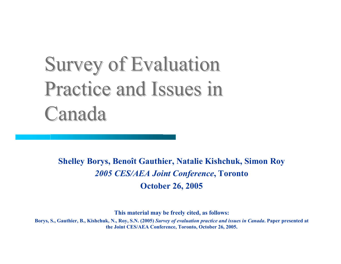# **Survey of Evaluation** Practice and Issues in Canada

**Shelley Borys, Benoît Gauthier, Natalie Kishchuk, Simon Roy** *2005 CES/AEA Joint Conference***, Toronto October 26, 2005**

**This material may be freely cited, as follows:**

**Borys, S., Gauthier, B., Kishchuk, N., Roy, S.N. (2005)** *Survey of evaluation practice and issues in Canada***. Paper presented at the Joint CES/AEA Conference, Toronto, October 26, 2005.**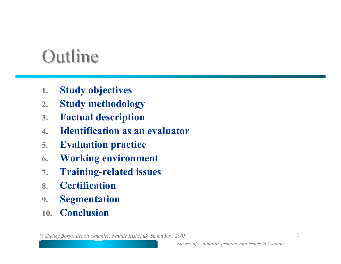# **Outline**

- **1.Study objectives**
- **2.Study methodology**
- **3.Factual description**
- **4.Identification as an evaluator**
- **5.Evaluation practice**
- **6.Working environment**
- **7.Training-related issues**
- **8.Certification**
- **9.Segmentation**
- **10.Conclusion**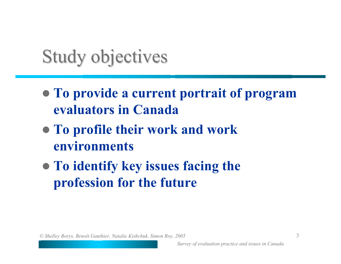# Study objectives

- z **To provide a current portrait of program evaluators in Canada**
- z **To profile their work and work environments**
- **To identify key issues facing the profession for the future**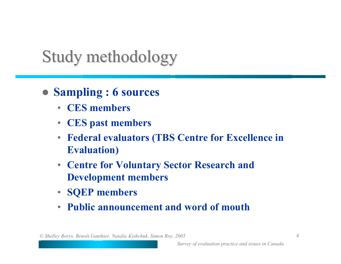### Study methodology

- z **Sampling : 6 sources**
	- **CES members**
	- **CES past members**
	- **Federal evaluators (TBS Centre for Excellence in Evaluation)**
	- **Centre for Voluntary Sector Research and Development members**
	- **SQEP members**
	- **Public announcement and word of mouth**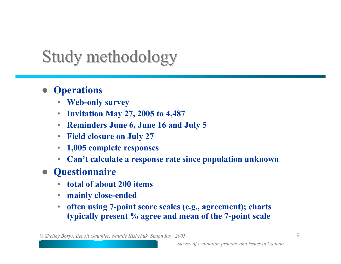## Study methodology

### **•** Operations

- **Web-only survey**
- •**Invitation May 27, 2005 to 4,487**
- **Reminders June 6, June 16 and July 5**
- **Field closure on July 27**
- $\bullet$ **1,005 complete responses**
- **Can't calculate a response rate since population unknown**
- **Questionnaire** 
	- $\bullet$ **total of about 200 items**
	- $\bullet$ **mainly close-ended**
	- $\bullet$  **often using 7-point score scales (e.g., agreement); charts typically present % agree and mean of the 7-point scale**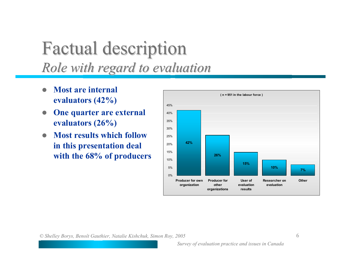### Factual description Factual description *Role with regard to evaluation Role with regard to evaluation*

- $\bullet$  **Most are internal evaluators (42%)**
- $\bullet$  **One quarter are external evaluators (26%)**
- $\bullet$  **Most results which follow in this presentation deal with the 68% of producers**

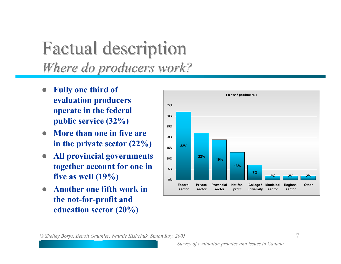### Factual description Factual description *Where do producers work? Where do producers work?*

- $\bullet$  **Fully one third of evaluation producers operate in the federal public service (32%)**
- $\bullet$  **More than one in five are in the private sector (22%)**
- $\bullet$  **All provincial governments together account for one in five as well (19%)**
- $\bullet$  **Another one fifth work in the not-for-profit and education sector (20%)**

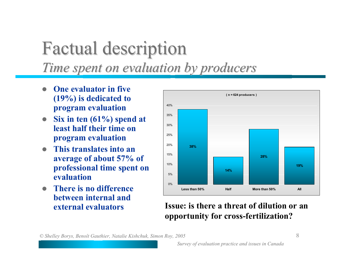## Factual description Factual description *Time spent on evaluation by producers Time spent on evaluation by producers*

- $\bullet$  **One evaluator in five (19%) is dedicated to program evaluation**
- $\bullet$  **Six in ten (61%) spend at least half their time on program evaluation**
- $\bullet$  **This translates into an average of about 57% of professional time spent on evaluation**
- **There is no difference between internal and external evaluators**



#### **Issue: is there a threat of dilution or an opportunity for cross-fertilization?**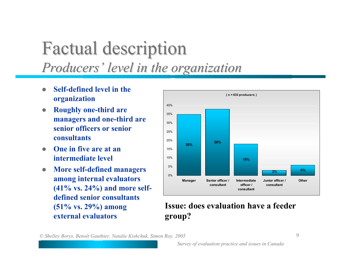### Factual description Factual description *Producers' level in the organization Producers' level in the organization*

- $\bullet$  **Self-defined level in the organization**
- $\bullet$  **Roughly one-third are managers and one-third are senior officers or senior consultants**
- $\bullet$  **One in five are at an intermediate level**
- $\bullet$  **More self-defined managers among internal evaluators (41% vs. 24%) and more selfdefined senior consultants (51% vs. 29%) among external evaluators**



#### **Issue: does evaluation have a feeder group?**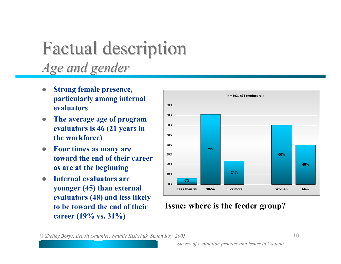### Factual description Factual description *Age and gender Age and gender*

- $\bullet$  **Strong female presence, particularly among internal evaluators**
- $\bullet$  **The average age of program evaluators is 46 (21 years in the workforce)**
- $\bullet$  **Four times as many are toward the end of their career as are at the beginning**
- $\bullet$  **Internal evaluators are younger (45) than external evaluators (48) and less likely to be toward the end of their career (19% vs. 31%)**



#### **Issue: where is the feeder group?**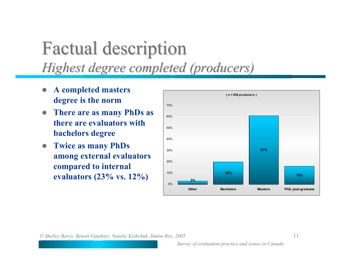## Factual description Factual description *Highest degree completed (producers) Highest degree completed (producers)*

- $\bullet$  **A completed masters degree is the norm**
- $\bullet$  **There are as many PhDs as there are evaluators with bachelors degree**
- z **Twice as many PhDs among external evaluators compared to internal evaluators (23% vs. 12%)**

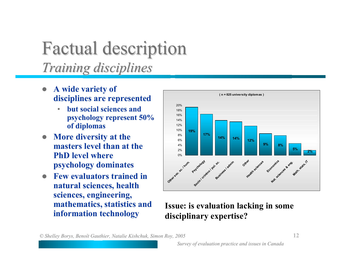### Factual description Factual description *Training disciplines Training disciplines*

- $\bullet$  **A wide variety of disciplines are represented**
	- • **but social sciences and psychology represent 50% of diplomas**
- $\bullet$  **More diversity at the masters level than at the PhD level where psychology dominates**
- $\bullet$  **Few evaluators trained in natural sciences, health sciences, engineering, mathematics, statistics and**



# **information technology Issue: is evaluation lacking in some information technology disciplinary expertise?**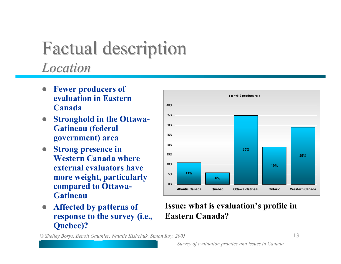### Factual description Factual description *Location Location*

- $\bullet$  **Fewer producers of evaluation in Eastern Canada**
- $\bullet$  **Stronghold in the Ottawa-Gatineau (federal government) area**
- $\bullet$  **Strong presence in Western Canada where external evaluators have more weight, particularly compared to Ottawa-Gatineau**
- $\bullet$  **Affected by patterns of response to the survey (i.e., Quebec)?**



#### **Issue: what is evaluation's profile in Eastern Canada?**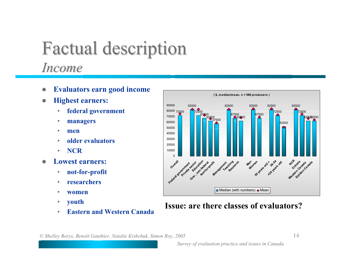### Factual description Factual description *Income*

- $\bullet$ **Evaluators earn good income**
- $\bullet$  **Highest earners:**
	- $\bullet$ **federal government**
	- •**managers**
	- •**men**
	- $\bullet$ **older evaluators**
	- •**NCR**
- $\bullet$  **Lowest earners:**
	- $\bullet$ **not-for-profit**
	- •**researchers**
	- •**women**
	- $\bullet$ **youth**
	- •**Eastern and Western Canada**



#### **Issue: are there classes of evaluators?**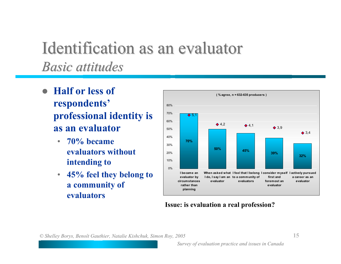### Identification as an evaluator *Basic attitudes Basic attitudes*

- $\bullet$  **Half or less of respondents' professional identity is as an evaluator**
	- • **70% became evaluators without intending to**
	- **45% feel they belong to a community of evaluators**



#### **Issue: is evaluation a real profession?**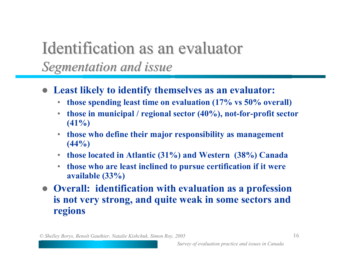### Identification as an evaluator *Segmentation and issue Segmentation and issue*

- z **Least likely to identify themselves as an evaluator:**
	- $\bullet$ **those spending least time on evaluation (17% vs 50% overall)**
	- • **those in municipal / regional sector (40%), not-for-profit sector (41%)**
	- **those who define their major responsibility as management (44%)**
	- **those located in Atlantic (31%) and Western (38%) Canada**
	- $\bullet$  **those who are least inclined to pursue certification if it were available (33%)**
- z **Overall: identification with evaluation as a profession is not very strong, and quite weak in some sectors and regions**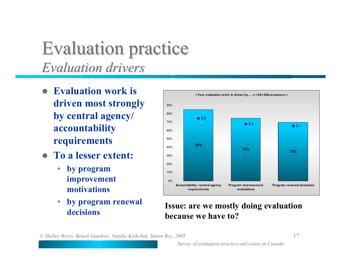### **Evaluation practice** *Evaluation drivers Evaluation drivers*

- **Evaluation work is driven most strongly by central agency/ accountability requirements**
- **To a lesser extent:** 
	- $\bullet$  **by program improvement motivations**
	- $\bullet$  **by program renewal decisions**



## **Issue: are we mostly doing evaluation because we have to?**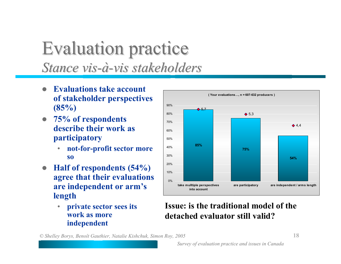### **Evaluation practice** *Stance vis-à-vis stakeholders stakeholders*

- $\bullet$  **Evaluations take account of stakeholder perspectives (85%)**
- z **75% of respondents describe their work as participatory**
	- • **not-for-profit sector more so**
- **Half of respondents (54%) agree that their evaluations are independent or arm's length**
	- • **private sector sees its work as more independent**



#### **Issue: is the traditional model of the detached evaluator still valid?**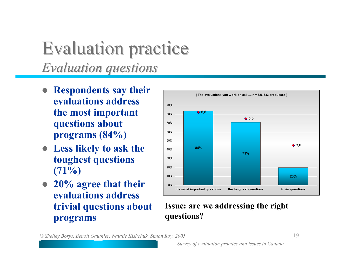### **Evaluation practice** *Evaluation questions Evaluation questions*

- **Respondents say their evaluations address the most important questions about programs (84%)**
- **Less likely to ask the toughest questions (71%)**
- 20% agree that their **evaluations address trivial questions about programs**



#### **Issue: are we addressing the right questions?**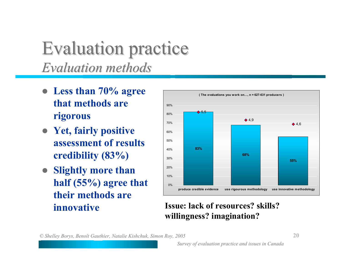### **Evaluation practice** *Evaluation methods Evaluation methods*

- Less than 70% agree **that methods are rigorous**
- **Yet, fairly positive assessment of results credibility (83%)**
- **Slightly more than half (55%) agree that their methods are innovative**



#### **Issue: lack of resources? skills? willingness? imagination?**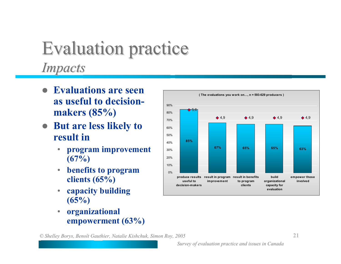## **Evaluation practice** *Impacts Impacts*

- z **Evaluations are seen as useful to decisionmakers (85%)**
- **But are less likely to result in**
	- • **program improvement (67%)**
	- $\bullet$  **benefits to program clients (65%)**
	- $\bullet$  **capacity building (65%)**
	- • **organizational empowerment (63%)**

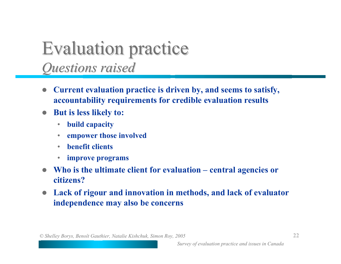### **Evaluation practice** *Questions raised Questions raised*

- $\bullet$  **Current evaluation practice is driven by, and seems to satisfy, accountability requirements for credible evaluation results**
- $\bullet$  **But is less likely to:**
	- $\bullet$ **build capacity**
	- •**empower those involved**
	- •**benefit clients**
	- **improve programs**
- $\bullet$ **Who is the ultimate client for evaluation – central agencies or citizens?**
- $\bullet$  **Lack of rigour and innovation in methods, and lack of evaluator independence may also be concerns**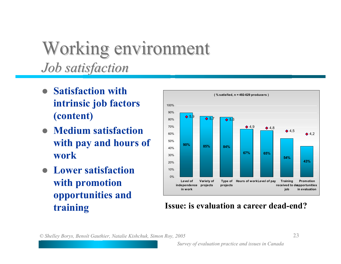### Working environment *Job satisfaction Job satisfaction*

- z **Satisfaction with intrinsic job factors (content)**
- **Medium satisfaction with pay and hours of work**
- z **Lower satisfaction with promotion opportunities and**



#### **training Issue: is evaluation a career dead-end?**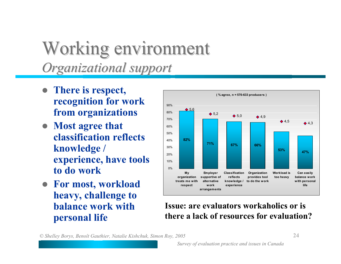### Working environment *Organizational support Organizational support*

- There is respect, **recognition for work from organizations**
- Most agree that **classification reflects knowledge / experience, have tools to do work**
- z **For most, workload heavy, challenge to balance work with personal life**



#### **Issue: are evaluators workaholics or is there a lack of resources for evaluation?**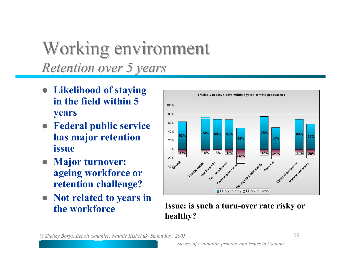### Working environment *Retention over 5 years Retention over 5 years*

- **Likelihood of staying in the field within 5 years**
- **Federal public service has major retention issue**
- **Major turnover: ageing workforce or retention challenge?**
- Not related to years in **the workforce**



 **Issue: is such a turn-over rate risky or healthy?**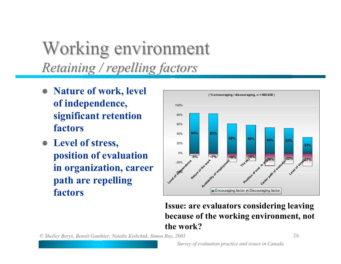## Working environment *Retaining / repelling factors Retaining / repelling factors*

- **Nature of work, level of independence, significant retention factors**
- Level of stress, **position of evaluation in organization, career path are repelling factors**



#### **Issue: are evaluators considering leaving because of the working environment, not the work?**

*© Shelley Borys, Benoît Gauthier, Natalie Kishchuk, Simon Roy, 2005* **26**

*Survey of evaluation practice and issues in Canada*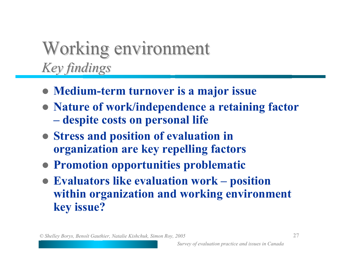## Working environment *Key findings Key findings*

- z **Medium-term turnover is a major issue**
- **Nature of work/independence a retaining factor Letters** and the second second  **despite costs on personal life**
- z **Stress and position of evaluation in organization are key repelling factors**
- **Promotion opportunities problematic**
- z **Evaluators like evaluation work – position within organization and working environment key issue?**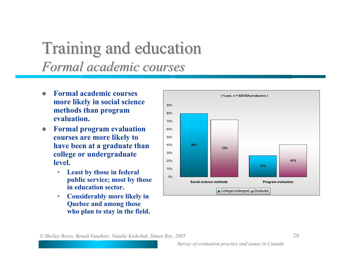### Training and education Training and education *Formal academic courses Formal academic courses*

- $\bullet$  **Formal academic courses more likely in social science methods than program evaluation.**
- $\bullet$  **Formal program evaluation courses are more likely to have been at a graduate than college or undergraduate level.**
	- $\bullet$  **Least by those in federal public service; most by those in education sector.**
	- • **Considerably more likely in Quebec and among those who plan to stay in the field.**

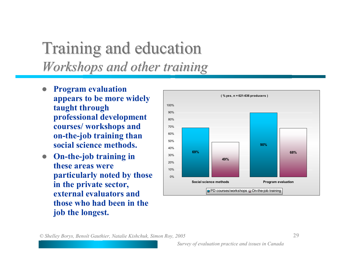### Training and education Training and education *Workshops and other training Workshops and other training*

- $\bullet$  **Program evaluation appears to be more widely taught through professional development courses/ workshops and on-the-job training than social science methods.**
- **On-the-job training in these areas were particularly noted by those in the private sector, external evaluators and those who had been in the job the longest.**

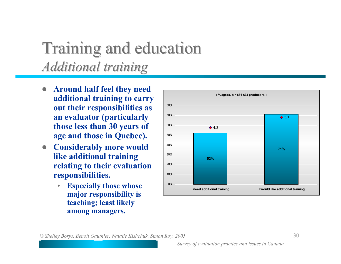### Training and education Training and education *Additional training Additional training*

- $\bullet$  **Around half feel they need additional training to carry out their responsibilities as an evaluator (particularly those less than 30 years of age and those in Quebec).**
- **Considerably more would like additional training relating to their evaluation responsibilities.**
	- $\bullet$  **Especially those whose major responsibility is teaching; least likely among managers.**

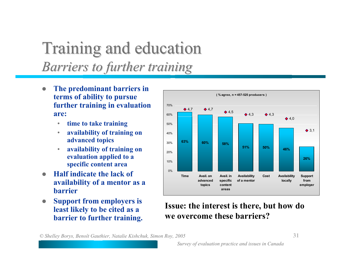### Training and education Training and education *Barriers to further training Barriers to further training*

- $\bullet$  **The predominant barriers in terms of ability to pursue further training in evaluation are:**
	- $\bullet$ **time to take training**
	- $\bullet$  **availability of training on advanced topics**
	- • **availability of training on evaluation applied to a specific content area**
- $\bullet$  **Half indicate the lack of availability of a mentor as a barrier**
- $\bullet$  **Support from employers is least likely to be cited as a barrier to further training.**



#### **Issue: the interest is there, but how do we overcome these barriers?**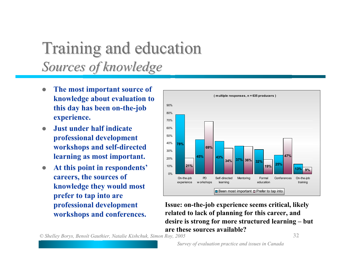### Training and education Training and education *Sources of knowledge Sources of knowledge*

- $\bullet$  **The most important source of knowledge about evaluation to this day has been on-the-job experience.**
- $\bullet$  **Just under half indicate professional development workshops and self-directed learning as most important.**
- $\bullet$  **At this point in respondents' careers, the sources of knowledge they would most prefer to tap into are professional development workshops and conferences.**



**Issue: on-the-job experience seems critical, likely related to lack of planning for this career, and desire is strong for more structured learning – but are these sources available?**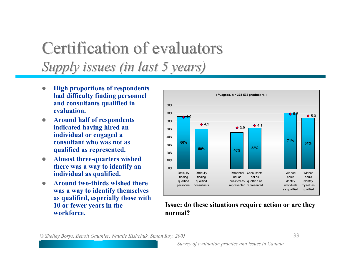### Certification of evaluators *Supply issues (in last 5 years) Supply issues (in last 5 years)*

- $\bullet$  **High proportions of respondents had difficulty finding personnel and consultants qualified in evaluation.**
- $\bullet$  **Around half of respondents indicated having hired an individual or engaged a consultant who was not as qualified as represented.**
- $\bullet$  **Almost three-quarters wished there was a way to identify an individual as qualified.**
- $\bullet$  **Around two-thirds wished there was a way to identify themselves as qualified, especially those with 10 or fewer years in the workforce.**



**Issue: do these situations require action or are they normal?**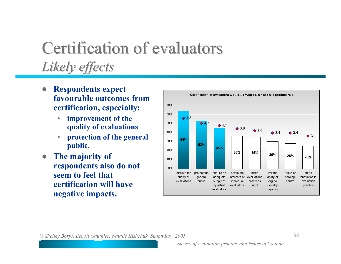### Certification of evaluators *Likely effects Likely effects*

- $\bullet$  **Respondents expect favourable outcomes from certification, especially:**
	- $\bullet$  **improvement of the quality of evaluations**
	- • **protection of the general public.**
- $\bullet$  **The majority of respondents also do not seem to feel that certification will have negative impacts.**

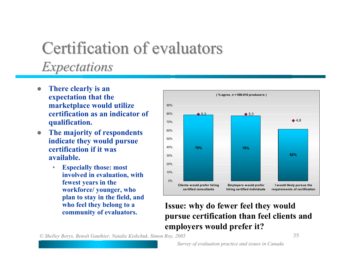### Certification of evaluators *Expectations Expectations*

- $\bullet$  **There clearly is an expectation that the marketplace would utilize certification as an indicator of qualification.**
- $\bullet$  **The majority of respondents indicate they would pursue certification if it was available.**
	- • **Especially those: most involved in evaluation, with fewest years in the workforce/ younger, who plan to stay in the field, and who feel they belong to a**



### **community of evaluators. Issue: why do fewer feel they would pursue certification than feel clients and employers would prefer it?**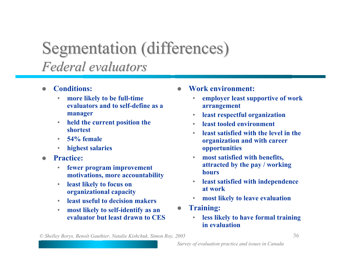### Segmentation (differences) *Federal evaluators Federal evaluators*

- $\bullet$  **Conditions:**
	- $\bullet$  **more likely to be full-time evaluators and to self-define as a manager**
	- $\bullet$  **held the current position the shortest**
	- $\bullet$ **54% female**
	- $\bullet$ **highest salaries**
- $\bullet$  **Practice:**
	- • **fewer program improvement motivations, more accountability**
	- $\bullet$  **least likely to focus on organizational capacity**
	- •**least useful to decision makers**
	- • **most likely to self-identify as an evaluator but least drawn to CES**
- $\bullet$  **Work environment:**
	- • **employer least supportive of work arrangement**
	- $\bullet$ **least respectful organization**
	- •**least tooled environment**
	- • **least satisfied with the level in the organization and with career opportunities**
	- • **most satisfied with benefits, attracted by the pay / working hours**
	- $\bullet$  **least satisfied with independence at work**
	- •**most likely to leave evaluation**
- $\bullet$  **Training:**
	- $\bullet$  **less likely to have formal training in evaluation**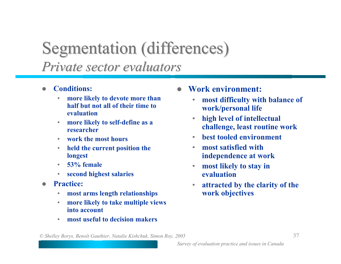# Segmentation (differences) *Private sector evaluators Private sector evaluators*

- $\bullet$  **Conditions:**
	- • **more likely to devote more than half but not all of their time to evaluation**
	- $\bullet$  **more likely to self-define as a researcher**
	- $\bullet$ **work the most hours**
	- $\bullet$  **held the current position the longest**
	- $\bullet$ **53% female**
	- $\bullet$ **second highest salaries**
- $\bullet$  **Practice:**
	- $\bullet$ **most arms length relationships**
	- $\bullet$  **more likely to take multiple views into account**
	- •**most useful to decision makers**
- $\bullet$  **Work environment:**
	- • **most difficulty with balance of work/personal life**
	- $\bullet$  **high level of intellectual challenge, least routine work**
	- •**best tooled environment**
	- • **most satisfied with independence at work**
	- $\bullet$  **most likely to stay in evaluation**
	- • **attracted by the clarity of the work objectives**

*© Shelley Borys, Benoît Gauthier, Natalie Kishchuk, Simon Roy, 2005* **37**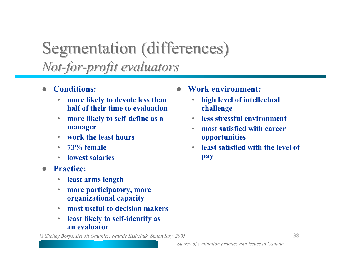# Segmentation (differences)  $Not-for-profit\ evaluations$

- $\bullet$  **Conditions:**
	- • **more likely to devote less than half of their time to evaluation**
	- $\bullet$  **more likely to self-define as a manager**
	- $\bullet$ **work the least hours**
	- $\bullet$ **73% female**
	- **lowest salaries**
- $\bullet$  **Practice:**
	- •**least arms length**
	- $\bullet$  **more participatory, more organizational capacity**
	- •**most useful to decision makers**
	- $\bullet$  **least likely to self-identify as an evaluator**

*© Shelley Borys, Benoît Gauthier, Natalie Kishchuk, Simon Roy, 2005* **38**

- $\bullet$  **Work environment:**
	- • **high level of intellectual challenge**
	- •**less stressful environment**
	- • **most satisfied with career opportunities**
	- • **least satisfied with the level of pay**

*Survey of evaluation practice and issues in Canada*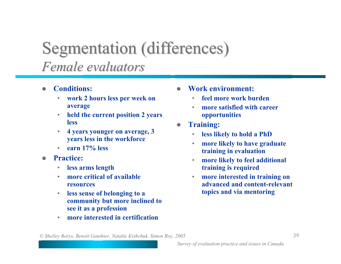# Segmentation (differences) *Female evaluators Female evaluators*

- $\bullet$  **Conditions:**
	- **work 2 hours less per week on average**
	- $\bullet$  **held the current position 2 years less**
	- $\bullet$  **4 years younger on average, 3 years less in the workforce**
	- **earn 17% less**
- $\bullet$  **Practice:**
	- $\bullet$ **less arms length**
	- • **more critical of available resources**
	- $\bullet$  **less sense of belonging to a community but more inclined to see it as a profession**
	- •**more interested in certification**
- $\bullet$  **Work environment:**
	- $\bullet$ **feel more work burden**
	- • **more satisfied with career opportunities**
- $\bullet$  **Training:**
	- •**less likely to hold a PhD**
	- $\bullet$  **more likely to have graduate training in evaluation**
	- • **more likely to feel additional training is required**
	- $\bullet$  **more interested in training on advanced and content-relevant topics and via mentoring**

*© Shelley Borys, Benoît Gauthier, Natalie Kishchuk, Simon Roy, 2005* **39**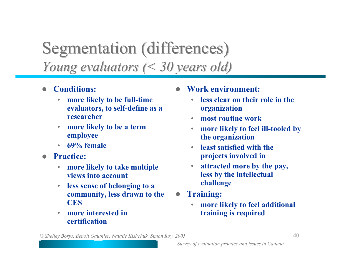# Segmentation (differences) *Young evaluators (< 30 years old) Young evaluators (< 30 years old)*

- $\bullet$  **Conditions:**
	- • **more likely to be full-time evaluators, to self-define as a researcher**
	- $\bullet$  **more likely to be a term employee**
	- •**69% female**
- $\bullet$  **Practice:**
	- $\bullet$  **more likely to take multiple views into account**
	- $\bullet$  **less sense of belonging to a community, less drawn to the CES**
	- • **more interested in certification**
- $\bullet$  **Work environment:**
	- • **less clear on their role in the organization**
	- •**most routine work**
	- $\bullet$  **more likely to feel ill-tooled by the organization**
	- • **least satisfied with the projects involved in**
	- • **attracted more by the pay, less by the intellectual challenge**
- $\bullet$  **Training:**
	- • **more likely to feel additional training is required**

*© Shelley Borys, Benoît Gauthier, Natalie Kishchuk, Simon Roy, 2005* **40**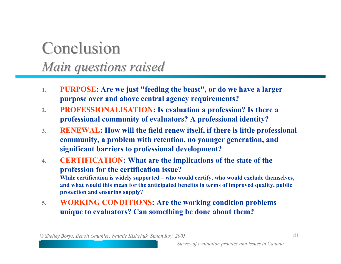## **Conclusion** *Main questions raised Main questions raised*

- **1. PURPOSE: Are we just "feeding the beast", or do we have a larger purpose over and above central agency requirements?**
- **2. PROFESSIONALISATION: Is evaluation a profession? Is there a professional community of evaluators? A professional identity?**
- **3. RENEWAL: How will the field renew itself, if there is little professional community, a problem with retention, no younger generation, and significant barriers to professional development?**
- **4. CERTIFICATION: What are the implications of the state of the profession for the certification issue? While certification is widely supported – who would certify, who would exclude themselves, and what would this mean for the anticipated benefits in terms of improved quality, public protection and ensuring supply?**
- **5. WORKING CONDITIONS: Are the working condition problems unique to evaluators? Can something be done about them?**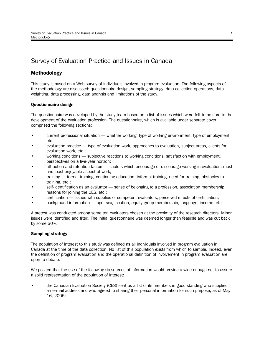## Survey of Evaluation Practice and Issues in Canada

#### **Methodology**

This study is based on a Web survey of individuals involved in program evaluation. The following aspects of the methodology are discussed: questionnaire design, sampling strategy, data collection operations, data weighting, data processing, data analysis and limitations of the study.

#### **Questionnaire design**

The questionnaire was developed by the study team based on a list of issues which were felt to be core to the development of the evaluation profession. The questionnaire, which is available under separate cover, comprised the following sections:

- current professional situation whether working, type of working environment, type of employment, etc.;
- evaluation practice type of evaluation work, approaches to evaluation, subject areas, clients for evaluation work, etc.;
- working conditions subjective reactions to working conditions, satisfaction with employment, perspectives on a five-year horizon;
- attraction and retention factors factors which encourage or discourage working in evaluation, most and least enjoyable aspect of work;
- training formal training, continuing education, informal training, need for training, obstacles to training, etc.;
- self-identification as an evaluator sense of belonging to a profession, association membership, reasons for joining the CES, etc.;
- certification issues with supplies of competent evaluators, perceived effects of certification;
- background information age, sex, location, equity group membership, language, income, etc.

A pretest was conducted among some ten evaluators chosen at the proximity of the research directors. Minor issues were identified and fixed. The initial questionnaire was deemed longer than feasible and was cut back by some 30%.

#### **Sampling strategy**

The population of interest to this study was defined as all individuals involved in program evaluation in Canada at the time of the data collection. No list of this population exists from which to sample. Indeed, even the definition of program evaluation and the operational definition of involvement in program evaluation are open to debate.

We posited that the use of the following six sources of information would provide a wide enough net to assure a solid representation of the population of interest:

• the Canadian Evaluation Society (CES) sent us a list of its members in good standing who supplied an e-mail address and who agreed to sharing their personal information for such purpose, as of May 16, 2005;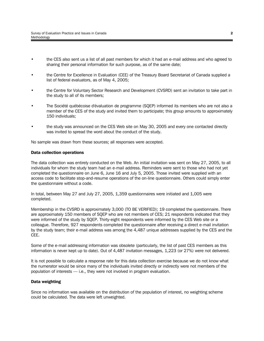- the CES also sent us a list of all past members for which it had an e-mail address and who agreed to sharing their personal information for such purpose, as of the same date;
- the Centre for Excellence in Evaluation (CEE) of the Treasury Board Secretariat of Canada supplied a list of federal evaluators, as of May 4, 2005;
- the Centre for Voluntary Sector Research and Development (CVSRD) sent an invitation to take part in the study to all of its members;
- The Société québécoise d'évaluation de programme (SQEP) informed its members who are not also a member of the CES of the study and invited them to participate; this group amounts to approximately 150 individuals;
- the study was announced on the CES Web site on May 30, 2005 and every one contacted directly was invited to spread the word about the conduct of the study.

No sample was drawn from these sources; all responses were accepted.

#### **Data collection operations**

The data collection was entirely conducted on the Web. An initial invitation was sent on May 27, 2005, to all individuals for whom the study team had an e-mail address. Reminders were sent to those who had not yet completed the questionnaire on June 6, June 16 and July 5, 2005. Those invited were supplied with an access code to facilitate stop-and-resume operations of the on-line questionnaire. Others could simply enter the questionnaire without a code.

In total, between May 27 and July 27, 2005, 1,359 questionnaires were initiated and 1,005 were completed.

Membership in the CVSRD is approximately 3,000 (TO BE VERIFIED); 19 completed the questionnaire. There are approximately 150 members of SQEP who are not members of CES; 21 respondents indicated that they were informed of the study by SQEP. Thirty-eight respondents were informed by the CES Web site or a colleague. Therefore, 927 respondents completed the questionnaire after receiving a direct e-mail invitation by the study team; their e-mail address was among the 4,487 unique addresses supplied by the CES and the CEE.

Some of the e-mail addressing information was obsolete (particularly, the list of past CES members as this information is never kept up to date). Out of 4,487 invitation messages, 1,223 (or 27%) were not delivered.

It is not possible to calculate a response rate for this data collection exercise because we do not know what the numerator would be since many of the individuals invited directly or indirectly were not members of the population of interests — i.e., they were not involved in program evaluation.

#### **Data weighting**

Since no information was available on the distribution of the population of interest, no weighting scheme could be calculated. The data were left unweighted.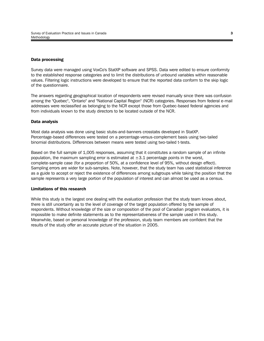#### **Data processing**

Survey data were managed using VoxCo's StatXP software and SPSS. Data were edited to ensure conformity to the established response categories and to limit the distributions of unbound variables within reasonable values. Filtering logic instructions were developed to ensure that the reported data conform to the skip logic of the questionnaire.

The answers regarding geographical location of respondents were revised manually since there was confusion among the "Quebec", "Ontario" and "National Capital Region" (NCR) categories. Responses from federal e-mail addresses were reclassified as belonging to the NCR except those from Quebec-based federal agencies and from individuals known to the study directors to be located outside of the NCR.

#### **Data analysis**

Most data analysis was done using basic stubs-and-banners crosstabs developed in StatXP. Percentage-based differences were tested on a percentage-versus-complement basis using two-tailed binomial distributions. Differences between means were tested using two-tailed t-tests.

Based on the full sample of 1,005 responses, assuming that it constitutes a random sample of an infinite population, the maximum sampling error is estimated at  $\pm 3.1$  percentage points in the worst, complete-sample case (for a proportion of 50%, at a confidence level of 95%, without design effect). Sampling errors are wider for sub-samples. Note, however, that the study team has used statistical inference as a guide to accept or reject the existence of differences among subgroups while taking the position that the sample represents a very large portion of the population of interest and can almost be used as a census.

#### **Limitations of this research**

While this study is the largest one dealing with the evaluation profession that the study team knows about, there is still uncertainty as to the level of coverage of the target population offered by the sample of respondents. Without knowledge of the size or composition of the pool of Canadian program evaluators, it is impossible to make definite statements as to the representativeness of the sample used in this study. Meanwhile, based on personal knowledge of the profession, study team members are confident that the results of the study offer an accurate picture of the situation in 2005.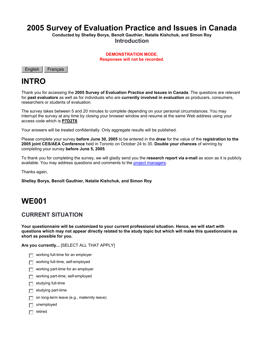## **2005 Survey of Evaluation Practice and Issues in Canada**

**Conducted by Shelley Borys, Benoît Gauthier, Natalie Kishchuk, and Simon Roy Introduction**

> **DEMONSTRATION MODE. Responses will not be recorded.**



### **INTRO**

Thank you for accessing the **2005 Survey of Evaluation Practice and Issues in Canada**. The questions are relevant for **past evaluators** as well as for individuals who are **currently involved in evaluation** as producers, consumers, researchers or students of evaluation.

The survey takes between 5 and 20 minutes to complete depending on your personal circumstances. You may interrupt the survey at any time by closing your browser window and resume at the same Web address using your access code which is **P7D2T6**

Your answers will be treated confidentially. Only aggregate results will be published.

Please complete your survey **before June 30, 2005** to be entered in the **draw** for the value of the **registration to the 2005 joint CES/AEA Conference** held in Toronto on October 24 to 30. **Double your chances** of winning by completing your survey **before June 5, 2005**.

To thank you for completing the survey, we will gladly send you the **research report via e-mail** as soon as it is publicly available. You may address questions and comments to the project managers.

Thanks again,

**Shelley Borys, Benoît Gauthier, Natalie Kishchuk, and Simon Roy**

## **WE001**

#### **CURRENT SITUATION**

**Your questionnaire will be customized to your current professional situation. Hence, we will start with questions which may not appear directly related to the study topic but which will make this questionnaire as short as possible for you.**

**Are you currently...** [SELECT ALL THAT APPLY]

- **Full-time for an employer**
- **gfedc** working full-time, self-employed
- **Full working part-time for an employer**
- **gfedc** working part-time, self-employed
- **gfedc** studying full-time
- **gfedc** studying part-time
- on long-term leave (e.g., maternity leave)
- **gfedc** unemployed
- **gfedc** retired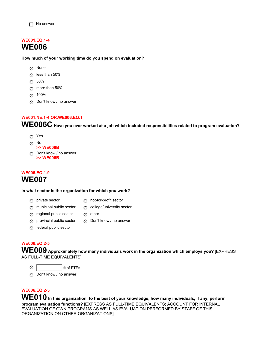#### **WE001.EQ.1-4 WE006**

**How much of your working time do you spend on evaluation?**

- **nmlkj** None
- **nmlkj** less than 50%
- **nmlkj** 50%
- **nmlkj** more than 50%
- **nmlkj** 100%
- *c* Don't know / no answer

#### **WE001.NE.1-4.OR.WE006.EQ.1**

**WE006C Have you ever worked at a job which included responsibilities related to program evaluation?** 

- **nmlkj** Yes
- **nmlkj** No
- **>> WE006B**
- **n** Don't know / no answer **>> WE006B**

#### **WE006.EQ.1-9 WE007**

#### **In what sector is the organization for which you work?**

- 
- **n** private sector **nml** not-for-profit sector
- **n** municipal public sector **notic college/university sector**
- **n** regional public sector **nm** other
	-
- **n** provincial public sector **no** Don't know / no answer
- **n** federal public sector

#### **WE006.EQ.2-5**

**WE009 Approximately how many individuals work in the organization which employs you?** [EXPRESS AS FULL-TIME EQUIVALENTS]

 $\circ$ 

*c* Don't know / no answer

#### **WE006.EQ.2-5**

WE010 In this organization, to the best of your knowledge, how many individuals, if any, perform **program evaluation functions?** [EXPRESS AS FULL-TIME EQUIVALENTS; ACCOUNT FOR INTERNAL EVALUATION OF OWN PROGRAMS AS WELL AS EVALUATION PERFORMED BY STAFF OF THIS ORGANIZATION ON OTHER ORGANIZATIONS]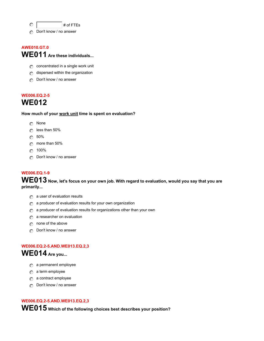**nmlkj** # of FTEs

**n** Don't know / no answer

### **AWE010.GT.0 WE011 Are these individuals...**

- **c** concentrated in a single work unit
- **n** dispersed within the organization
- **ing** Don't know / no answer

#### **WE006.EQ.2-5 WE012**

**How much of your work unit time is spent on evaluation?**

- **nmlkj** None
- **nmlkj** less than 50%
- **nmlkj** 50%
- **nmlkj** more than 50%
- **nmlkj** 100%
- **nDon't know / no answer**

#### **WE006.EQ.1-9**

**WE013 Now, let's focus on your own job. With regard to evaluation, would you say that you are primarily...** 

- **n** a user of evaluation results
- **nmlkj** a producer of evaluation results for your own organization
- **nmlkj** a producer of evaluation results for organizations other than your own
- **n** a researcher on evaluation
- **n** none of the above
- **n** $\Omega$  Don't know / no answer

#### **WE006.EQ.2-5.AND.WE013.EQ.2,3 WE014 Are you...**

- **n** $\Omega$  a permanent employee
- **n** a term employee
- **nmlkj** a contract employee
- *c* Don't know / no answer

#### **WE006.EQ.2-5.AND.WE013.EQ.2,3**

**WE015 Which of the following choices best describes your position?**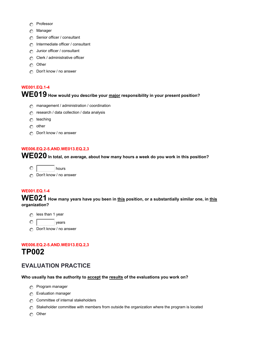- **nmlkj** Professor
- **nmlkj** Manager
- *c* Senior officer / consultant
- **n** Intermediate officer / consultant
- **n** Junior officer / consultant
- **n** Clerk / administrative officer
- **nmlkj** Other
- *c* Don't know / no answer

## **WE001.EQ.1-4 WE019 How would you describe your major responsibility in your present position?**

- **nmanagement / administration / coordination**
- **nm** research / data collection / data analysis
- **nmlkj** teaching
- **nmlkj** other
- **nDon't know / no answer**

#### **WE006.EQ.2-5.AND.WE013.EQ.2,3**

**WE020 In total, on average, about how many hours a week do you work in this position?** 

- $\circ$   $\overline{\hspace{1cm}}$  hours
- **n** $\Omega$  Don't know / no answer

#### **WE001.EQ.1-4**

WE021 How many years have you been in **this position, or a substantially similar** one, in **this organization?** 

- **n** less than 1 year
- $\odot$  | vears
- **ing** Don't know / no answer

#### **WE006.EQ.2-5.AND.WE013.EQ.2,3 TP002**

### **EVALUATION PRACTICE**

#### **Who usually has the authority to accept the results of the evaluations you work on?**

- **n** Program manager
- **nmlkj** Evaluation manager
- **c** Committee of internal stakeholders
- **n** Stakeholder committee with members from outside the organization where the program is located
- **nmlkj** Other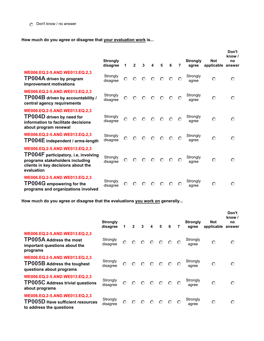**How much do you agree or disagree that your evaluation work is...**

|                                                                                                                                                              | <b>Strongly</b><br>disagree | 1       | $\overline{2}$ | 3       | 4       | 5       | 6       | 7       | <b>Strongly</b><br>agree | <b>Not</b><br>applicable | Don't<br>know /<br>no<br>answer |
|--------------------------------------------------------------------------------------------------------------------------------------------------------------|-----------------------------|---------|----------------|---------|---------|---------|---------|---------|--------------------------|--------------------------|---------------------------------|
| WE006.EQ.2-5.AND.WE013.EQ.2,3<br>TP004A driven by program<br>improvement motivations                                                                         | Strongly<br>disagree        | $\odot$ | $\odot$        | $\odot$ | $\odot$ | $\odot$ | $\circ$ | $\odot$ | Strongly<br>agree        | $\odot$                  | $\odot$                         |
| WE006.EQ.2-5.AND.WE013.EQ.2,3<br>TP004B driven by accountability /<br>central agency requirements                                                            | Strongly<br>disagree        | $\odot$ | $\odot$        | $\odot$ | $\odot$ | $\odot$ | $\odot$ | $\odot$ | Strongly<br>agree        | $\odot$                  | $\odot$                         |
| WE006.EQ.2-5.AND.WE013.EQ.2,3<br>TP004D driven by need for<br>information to facilitate decisions<br>about program renewal                                   | Strongly<br>disagree        | O       | $\odot$        | $\circ$ | $\odot$ | $\circ$ | $\odot$ | $\odot$ | Strongly<br>agree        | $\odot$                  | $\odot$                         |
| WE006.EQ.2-5.AND.WE013.EQ.2,3<br>TP004E independent / arms-length                                                                                            | Strongly<br>disagree        | $\odot$ | $\odot$        | $\circ$ | $\odot$ | $\odot$ | $\odot$ | $\odot$ | Strongly<br>agree        | $\odot$                  | $\odot$                         |
| WE006.EQ.2-5.AND.WE013.EQ.2,3<br>TP004F participatory, i.e, involving<br>programs stakeholders including<br>clients in key decisions about the<br>evaluation | Strongly<br>disagree        | $\odot$ | $\odot$        | $\circ$ | $\odot$ | $\odot$ | $\odot$ | $\circ$ | Strongly<br>agree        | $\odot$                  | $\odot$                         |
| WE006.EQ.2-5.AND.WE013.EQ.2,3<br><b>TP004G</b> empowering for the<br>programs and organizations involved                                                     | Strongly<br>disagree        | O       | $\odot$        | $\circ$ | $\odot$ | $\odot$ | $\odot$ | $\odot$ | Strongly<br>agree        | $\odot$                  | $\odot$                         |

**How much do you agree or disagree that the evaluations you work on generally...** 

|                                                                                                              | <b>Strongly</b><br>disagree | 1       | $\mathbf{2}$ | 3       | $\overline{\mathbf{4}}$ | 5                                                                                                    | 6       | 7       | <b>Strongly</b><br>agree | <b>Not</b><br>applicable | Don't<br>know /<br>no<br>answer |
|--------------------------------------------------------------------------------------------------------------|-----------------------------|---------|--------------|---------|-------------------------|------------------------------------------------------------------------------------------------------|---------|---------|--------------------------|--------------------------|---------------------------------|
| WE006.EQ.2-5.AND.WE013.EQ.2,3<br><b>TP005A Address the most</b><br>important questions about the<br>programs | Strongly<br>disagree        | $\odot$ | $\odot$      |         |                         | $O$ $O$ $O$ $O$                                                                                      |         | $\odot$ | Strongly<br>agree        | $\odot$                  | $\odot$                         |
| WE006.EQ.2-5.AND.WE013.EQ.2,3<br><b>TP005B Address the toughest</b><br>questions about programs              | Strongly<br>disagree        | $\odot$ |              |         |                         | $\begin{array}{ccccccccccccccccc} \circ & \circ & \circ & \circ & \circ & \circ & \circ \end{array}$ |         | $\odot$ | Strongly<br>agree        | $\odot$                  | $\odot$                         |
| WE006.EQ.2-5.AND.WE013.EQ.2,3<br><b>TP005C Address trivial questions</b><br>about programs                   | Strongly<br>disagree        | $\odot$ | $\odot$      |         |                         | $\begin{array}{ccccccccc}\n\circ & \circ & \circ & \circ & \circ\n\end{array}$                       |         | $\odot$ | Strongly<br>agree        | $\odot$                  | $\odot$                         |
| WE006.EQ.2-5.AND.WE013.EQ.2,3<br><b>TP005D Have sufficient resources</b><br>to address the questions         | Strongly<br>disagree        | $\odot$ | $\odot$      | $\odot$ | $\odot$                 | $\circ$                                                                                              | $\odot$ | $\odot$ | Strongly<br>agree        | $\odot$                  | $\odot$                         |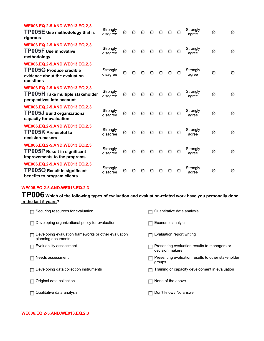| WE006.EQ.2-5.AND.WE013.EQ.2,3<br>TP005E Use methodology that is<br>rigorous                                   | Strongly<br>disagree | $\odot$ | $\odot$ |         | $O$ $O$ $O$ |         | $\odot$ | $\odot$ | Strongly<br>agree | $\odot$ | $\odot$ |
|---------------------------------------------------------------------------------------------------------------|----------------------|---------|---------|---------|-------------|---------|---------|---------|-------------------|---------|---------|
| WE006.EQ.2-5.AND.WE013.EQ.2,3<br><b>TP005F</b> Use innovative<br>methodology                                  | Strongly<br>disagree | $\odot$ | $\odot$ | $\odot$ | $\odot$     | $\odot$ | $\odot$ | $\odot$ | Strongly<br>agree | $\odot$ | $\odot$ |
| WE006.EQ.2-5.AND.WE013.EQ.2,3<br><b>TP005G Produce credible</b><br>evidence about the evaluation<br>questions | Strongly<br>disagree | $\odot$ | $\odot$ | $\odot$ | $\odot$     | $\odot$ | $\odot$ | $\odot$ | Strongly<br>agree | $\odot$ | $\odot$ |
| WE006.EQ.2-5.AND.WE013.EQ.2,3<br>TP005H Take multiple stakeholder<br>perspectives into account                | Strongly<br>disagree | $\odot$ | $\odot$ |         | $O$ $O$ $O$ |         | $\odot$ | $\circ$ | Strongly<br>agree | $\odot$ | $\odot$ |
| WE006.EQ.2-5.AND.WE013.EQ.2,3<br><b>TP005J Build organizational</b><br>capacity for evaluation                | Strongly<br>disagree | $\odot$ | $\odot$ | $\circ$ | $\odot$     | $\odot$ | $\odot$ | $\odot$ | Strongly<br>agree | $\odot$ | $\odot$ |
| WE006.EQ.2-5.AND.WE013.EQ.2,3<br><b>TP005K</b> Are useful to<br>decision-makers                               | Strongly<br>disagree | $\odot$ | $\odot$ | $\odot$ | $\circ$     | $\odot$ | $\odot$ | $\odot$ | Strongly<br>agree | $\odot$ | $\odot$ |
| WE006.EQ.2-5.AND.WE013.EQ.2,3<br><b>TP005P Result in significant</b><br>improvements to the programs          | Strongly<br>disagree | $\odot$ | $\odot$ | $\circ$ | $\odot$     | $\odot$ | $\odot$ | $\circ$ | Strongly<br>agree | $\odot$ | $\odot$ |
| WE006.EQ.2-5.AND.WE013.EQ.2,3<br><b>TP005Q Result in significant</b><br>benefits to program clients           | Strongly<br>disagree | $\odot$ | $\odot$ | $\odot$ | $\odot$     | ⊙       | $\odot$ | $\odot$ | Strongly<br>agree | $\odot$ | $\odot$ |

#### **WE006.EQ.2-5.AND.WE013.EQ.2,3**

**TP006 Which of the following types of evaluation and evaluation-related work have you personally done in the last 5 years?** 

| Securing resources for evaluation                                          | Quantitative data analysis                                      |
|----------------------------------------------------------------------------|-----------------------------------------------------------------|
| Developing organizational policy for evaluation                            | Economic analysis                                               |
| Developing evaluation frameworks or other evaluation<br>planning documents | Evaluation report writing                                       |
| Evaluability assessment                                                    | Presenting evaluation results to managers or<br>decision makers |
| Needs assessment                                                           | Presenting evaluation results to other stakeholder<br>groups    |
| Developing data collection instruments                                     | Training or capacity development in evaluation                  |
| Original data collection                                                   | None of the above                                               |
| Qualitative data analysis                                                  | Don't know / No answer                                          |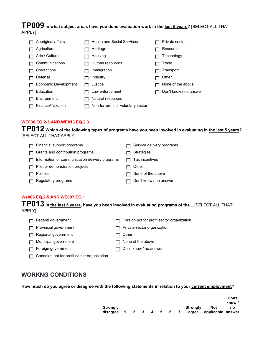#### **TP009 In what subject areas have you done evaluation work in the last 5 years?** [SELECT ALL THAT APPLY]

| Aboriginal affairs   | <b>Health and Social Services</b>  | Private sector         |
|----------------------|------------------------------------|------------------------|
| Agriculture          | Heritage                           | Research               |
| Arts / Culture       | Housing                            | Technology             |
| Communications       | Human resources                    | Trade                  |
| Corrections          | Immigration                        | Transport              |
| Defense              | Industry                           | Other                  |
| Economic Development | Justice                            | None of the above      |
| Education            | Law enforcement                    | Don't know / no answer |
| Environment          | Natural resources                  |                        |
| Finance/Taxation     | Non-for-profit or voluntary sector |                        |

#### **WE006.EQ.2-5.AND.WE013.EQ.2,3**

**TP012 Which of the following types of programs have you been involved in evaluating in the last 5 years?**  [SELECT ALL THAT APPLY]

| Financial support programs                     | Service delivery programs |
|------------------------------------------------|---------------------------|
| Grants and contribution programs               | Strategies                |
| Information or communication delivery programs | Tax incentives            |
| Pilot or demonstration projects                | Other                     |
| Policies                                       | None of the above         |
| Regulatory programs                            | Don't know / no answer    |
|                                                |                           |

#### **We006.EQ.2-5.AND.WE007.EQ.1**

**TP013 In the last 5 years, have you been involved in evaluating programs of the...** [SELECT ALL THAT APPLY]

| $\Box$ Federal government    | $\Box$ Foreign not for profit sector organization |
|------------------------------|---------------------------------------------------|
| $\Box$ Provincial government | $\Box$ Private sector organization                |
| $\Box$ Regional government   | $\Box$ Other                                      |

- **Fig.** Municipal government
- **Foreign government**
- **g** Canadian not for profit sector organization
- **g** None of the above **g** Don't know / no answer
- 

#### **WORKNG CONDITIONS**

**How much do you agree or disagree with the following statements in relation to your current employment?**

|                                           |  |  |  |                   |                          | Don't<br>know / |
|-------------------------------------------|--|--|--|-------------------|--------------------------|-----------------|
| <b>Strongly</b><br>disagree 1 2 3 4 5 6 7 |  |  |  | Stronaly<br>agree | Not<br>applicable answer | no              |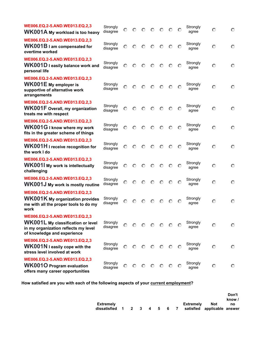| WE006.EQ.2-5.AND.WE013.EQ.2,3<br>WK001A My workload is too heavy                                                                          | Strongly<br>disagree | O       | $\odot$ | $\odot$ | $\circ$                                                        | $\odot$ | $\odot$ | $\circ$ | Strongly<br>agree | $\circ$ | ⊙       |
|-------------------------------------------------------------------------------------------------------------------------------------------|----------------------|---------|---------|---------|----------------------------------------------------------------|---------|---------|---------|-------------------|---------|---------|
| WE006.EQ.2-5.AND.WE013.EQ.2,3<br>WK001B I am compensated for<br>overtime worked                                                           | Strongly<br>disagree | O       | $\odot$ | $\odot$ | $\odot$                                                        | $\odot$ | $\odot$ | $\circ$ | Strongly<br>agree | $\odot$ | $\odot$ |
| WE006.EQ.2-5.AND.WE013.EQ.2,3<br>WK001D I easily balance work and<br>personal life                                                        | Strongly<br>disagree | $\odot$ | $\odot$ | $\odot$ | $\odot$                                                        | $\odot$ | $\odot$ | $\odot$ | Strongly<br>agree | $\odot$ | $\odot$ |
| WE006.EQ.2-5.AND.WE013.EQ.2,3<br><b>WK001E</b> My employer is<br>supportive of alternative work<br>arrangements                           | Strongly<br>disagree | $\circ$ | $\odot$ | $\odot$ | $\odot$                                                        | $\odot$ | $\odot$ | $\circ$ | Strongly<br>agree | $\odot$ | $\odot$ |
| WE006.EQ.2-5.AND.WE013.EQ.2,3<br><b>WK001F</b> Overall, my organization<br>treats me with respect                                         | Strongly<br>disagree | O       | $\odot$ | $\odot$ | $\odot$                                                        | $\odot$ | $\odot$ | $\circ$ | Strongly<br>agree | $\odot$ | $\odot$ |
| WE006.EQ.2-5.AND.WE013.EQ.2,3<br>WK001G I know where my work<br>fits in the greater scheme of things                                      | Strongly<br>disagree | $\odot$ | $\odot$ | $\odot$ | $\odot$                                                        | $\odot$ | $\odot$ | $\odot$ | Strongly<br>agree | $\odot$ | $\odot$ |
| WE006.EQ.2-5.AND.WE013.EQ.2,3<br>WK001H I receive recognition for<br>the work I do                                                        | Strongly<br>disagree | $\odot$ | $\odot$ | $\odot$ | $\odot$                                                        | $\odot$ | $\odot$ | $\circ$ | Strongly<br>agree | $\odot$ | $\odot$ |
| WE006.EQ.2-5.AND.WE013.EQ.2,3<br><b>WK001I My work is intellectually</b><br>challenging                                                   | Strongly<br>disagree | $\circ$ | $\odot$ | $\odot$ | $\odot$                                                        | $\circ$ | $\odot$ | $\circ$ | Strongly<br>agree | $\odot$ | $\odot$ |
| WE006.EQ.2-5.AND.WE013.EQ.2,3<br><b>WK001J My work is mostly routine</b>                                                                  | Strongly<br>disagree | $\circ$ | $\odot$ | $\odot$ | $\odot$                                                        | $\odot$ | $\odot$ | $\circ$ | Strongly<br>agree | $\odot$ | $\odot$ |
| WE006.EQ.2-5.AND.WE013.EQ.2,3<br><b>WK001K</b> My organization provides<br>me with all the proper tools to do my<br>work                  | Strongly<br>disagree | O       | $\odot$ | $\odot$ | $\circ$                                                        | $\odot$ | $\odot$ | $\circ$ | Strongly<br>agree | $\odot$ | $\odot$ |
| WE006.EQ.2-5.AND.WE013.EQ.2,3<br>WK001L My classification or level<br>in my organization reflects my level<br>of knowledge and experience | Strongly<br>disagree | $\odot$ |         |         | $\begin{array}{ccc} \circ & \circ & \circ & \circ \end{array}$ |         |         | $\circ$ | Strongly<br>agree | $\circ$ | $\odot$ |
| WE006.EQ.2-5.AND.WE013.EQ.2,3<br>WK001N I easily cope with the<br>stress level involved at work                                           | Strongly<br>disagree | $\odot$ | $\odot$ | $\odot$ | $\circ$                                                        | $\odot$ | $\odot$ | $\circ$ | Strongly<br>agree | $\circ$ | $\odot$ |
| WE006.EQ.2-5.AND.WE013.EQ.2,3<br><b>WK001O</b> Program evaluation<br>offers many career opportunities                                     | Strongly<br>disagree | $\odot$ |         |         | $\begin{array}{ccc} \circ & \circ & \circ & \circ \end{array}$ |         |         | - ©     | Strongly<br>agree | $\circ$ | $\odot$ |

**How satisfied are you with each of the following aspects of your current employment?** 

|                            |  |  |  |           |                             | Don't<br>know / |
|----------------------------|--|--|--|-----------|-----------------------------|-----------------|
| <b>Extremely</b>           |  |  |  | Extremelv | <b>Not</b>                  | no              |
| dissatisfied 1 2 3 4 5 6 7 |  |  |  |           | satisfied applicable answer |                 |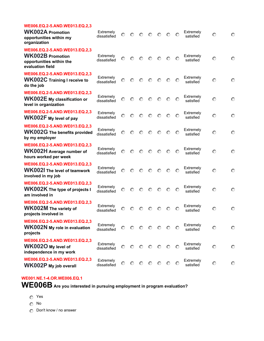| WE006.EQ.2-5.AND.WE013.EQ.2,3<br><b>WK002A Promotion</b><br>opportunities within my<br>organization      | Extremely<br>dissatisfied | $\odot$ | $\odot$ | $\odot$ | $\odot$ | $\odot$ | $\odot$ | $\odot$ | Extremely<br>satisfied | $\odot$ | $\odot$ |
|----------------------------------------------------------------------------------------------------------|---------------------------|---------|---------|---------|---------|---------|---------|---------|------------------------|---------|---------|
| WE006.EQ.2-5.AND.WE013.EQ.2,3<br><b>WK002B Promotion</b><br>opportunities within the<br>evaluation field | Extremely<br>dissatisfied | O.      | $\odot$ | $\odot$ | $\odot$ | $\odot$ | $\odot$ | $\odot$ | Extremely<br>satisfied | $\odot$ | $\odot$ |
| WE006.EQ.2-5.AND.WE013.EQ.2,3<br><b>WK002C</b> Training I receive to<br>do the job                       | Extremely<br>dissatisfied | $\odot$ | $\odot$ | $\odot$ | $\odot$ | $\odot$ | $\odot$ | $\circ$ | Extremely<br>satisfied | $\odot$ | $\odot$ |
| WE006.EQ.2-5.AND.WE013.EQ.2,3<br><b>WK002E My classification or</b><br>level in organization             | Extremely<br>dissatisfied | $\odot$ | $\odot$ | $\odot$ | $\odot$ | $\odot$ | $\odot$ | $\odot$ | Extremely<br>satisfied | $\odot$ | $\odot$ |
| WE006.EQ.2-5.AND.WE013.EQ.2,3<br>WK002F My level of pay                                                  | Extremely<br>dissatisfied | $\odot$ | $\odot$ | $\odot$ | $\odot$ | $\odot$ | $\odot$ | $\circ$ | Extremely<br>satisfied | $\odot$ | $\odot$ |
| WE006.EQ.2-5.AND.WE013.EQ.2,3<br><b>WK002G</b> The benefits provided<br>by my employer                   | Extremely<br>dissatisfied | $\odot$ | $\circ$ | $\odot$ | $\odot$ | $\odot$ | $\circ$ | $\odot$ | Extremely<br>satisfied | O       | $\odot$ |
| WE006.EQ.2-5.AND.WE013.EQ.2,3<br><b>WK002H</b> Average number of<br>hours worked per week                | Extremely<br>dissatisfied | $\odot$ | $\circ$ | $\odot$ | $\odot$ | $\odot$ | $\odot$ | $\odot$ | Extremely<br>satisfied | $\odot$ | $\odot$ |
| WE006.EQ.2-5.AND.WE013.EQ.2,3<br><b>WK002I</b> The level of teamwork<br>involved in my job               | Extremely<br>dissatisfied | $\odot$ | $\odot$ | $\odot$ | $\odot$ | $\odot$ | $\odot$ | $\odot$ | Extremely<br>satisfied | $\odot$ | $\odot$ |
| WE006.EQ.2-5.AND.WE013.EQ.2,3<br><b>WK002K</b> The type of projects I<br>am involved in                  | Extremely<br>dissatisfied | O       | $\odot$ | $\odot$ | $\odot$ | $\odot$ | $\odot$ | $\odot$ | Extremely<br>satisfied | $\odot$ | $\odot$ |
| WE006.EQ.2-5.AND.WE013.EQ.2,3<br><b>WK002M</b> The variety of<br>projects involved in                    | Extremely<br>dissatisfied | O       | $\odot$ | $\circ$ | $\circ$ | $\odot$ | $\odot$ | O       | Extremely<br>satisfied | $\circ$ | $\odot$ |
| WE006.EQ.2-5.AND.WE013.EQ.2,3<br><b>WK002N</b> My role in evaluation<br>projects                         | Extremely<br>dissatisfied | $\odot$ | $\odot$ | $\odot$ | $\odot$ | $\odot$ | $\circ$ | $\circ$ | Extremely<br>satisfied | $\odot$ | $\circ$ |
| WE006.EQ.2-5.AND.WE013.EQ.2,3<br>WK002O My level of<br>independence in my work                           | Extremely<br>dissatisfied | O       | $\odot$ | $\odot$ | $\odot$ | $\odot$ | $\odot$ | $\circ$ | Extremely<br>satisfied | $\odot$ | $\odot$ |
| WE006.EQ.2-5.AND.WE013.EQ.2,3<br><b>WK002P</b> My job overall                                            | Extremely<br>dissatisfied | $\odot$ | $\circ$ | $\odot$ | $\circ$ | $\odot$ | $\circ$ | $\odot$ | Extremely<br>satisfied | $\odot$ | $\odot$ |

#### **WE001.NE.1-4.OR.WE006.EQ.1**

**WE006B Are you interested in pursuing employment in program evaluation?** 

- **nmlkj** Yes
- **nmlkj** No
- *c* Don't know / no answer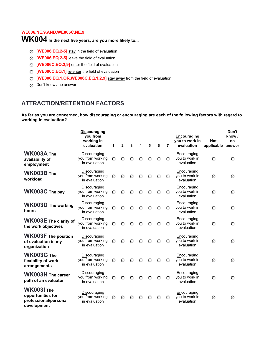#### **WE006.NE.9.AND.WE006C.NE.9**

## **WK004 In the next five years, are you more likely to...**

- **C [WE006.EQ.2-5]** stay in the field of evaluation
- **C** [WE006.EQ.2-5] leave the field of evaluation
- **C [WE006C.EQ.2,9]** enter the field of evaluation
- **nmlkj [WE006C.EQ.1]** re-enter the field of evaluation
- **nmlkj [WE006.EQ.1.OR.WE006C.EQ.1,2,9]** stay away from the field of evaluation
- *c* Don't know / no answer

#### **ATTRACTION/RETENTION FACTORS**

**As far as you are concerned, how discouraging or encouraging are each of the following factors with regard to working in evaluation?**

|                                                                                | <b>Discouraging</b><br>you from<br>working in<br>evaluation | 1       | $\overline{2}$ | 3       | 4       | 5         | 6         | 7       | Encouraging<br>you to work in<br>evaluation | <b>Not</b><br>applicable | Don't<br>know /<br>no<br>answer |
|--------------------------------------------------------------------------------|-------------------------------------------------------------|---------|----------------|---------|---------|-----------|-----------|---------|---------------------------------------------|--------------------------|---------------------------------|
| WK003A The<br>availability of<br>employment                                    | Discouraging<br>you from working<br>in evaluation           | $\odot$ | $\odot$        | $\odot$ | $\odot$ | ∩         | $\odot$   | $\odot$ | Encouraging<br>you to work in<br>evaluation | $\bigcap$                | $\odot$                         |
| WK003B The<br>workload                                                         | Discouraging<br>you from working<br>in evaluation           | $\odot$ | $\odot$        | $\odot$ | $\odot$ | $\odot$   | $\odot$   | $\odot$ | Encouraging<br>you to work in<br>evaluation | $\odot$                  | $\odot$                         |
| WK003C The pay                                                                 | Discouraging<br>you from working<br>in evaluation           | $\odot$ | $\odot$        | $\odot$ | $\odot$ | $\odot$   | $\odot$   | $\odot$ | Encouraging<br>you to work in<br>evaluation | $\odot$                  | $\odot$                         |
| <b>WK003D The working</b><br>hours                                             | Discouraging<br>you from working<br>in evaluation           | $\odot$ | $\odot$        | $\odot$ | $\odot$ | $\odot$   | $\odot$   | $\odot$ | Encouraging<br>you to work in<br>evaluation | $\odot$                  | $\odot$                         |
| WK003E The clarity of<br>the work objectives                                   | Discouraging<br>you from working<br>in evaluation           | $\odot$ | $\odot$        | $\odot$ | $\circ$ | $\odot$   | $\odot$   | $\odot$ | Encouraging<br>you to work in<br>evaluation | $\circ$                  | $\odot$                         |
| <b>WK003F</b> The position<br>of evaluation in my<br>organization              | Discouraging<br>you from working<br>in evaluation           | $\odot$ | $\odot$        | $\odot$ | $\odot$ | ⊙         | $\odot$   | $\odot$ | Encouraging<br>you to work in<br>evaluation | $\odot$                  | $\odot$                         |
| <b>WK003G The</b><br>flexibility of work<br>arrangements                       | Discouraging<br>you from working<br>in evaluation           | $\odot$ | $\odot$        | $\odot$ | $\odot$ | $\bigcap$ | $\bigcap$ | $\odot$ | Encouraging<br>you to work in<br>evaluation | $\odot$                  | $\odot$                         |
| <b>WK003H</b> The career<br>path of an evaluator                               | Discouraging<br>you from working<br>in evaluation           | $\odot$ | $\odot$        | $\odot$ | $\odot$ | $\odot$   | $\odot$   | $\odot$ | Encouraging<br>you to work in<br>evaluation | $\odot$                  | $\odot$                         |
| <b>WK003I The</b><br>opportunities for<br>professional/personal<br>development | Discouraging<br>you from working<br>in evaluation           | $\odot$ | $\odot$        | ∩       | ∩       | ∩         | ∩         | $\odot$ | Encouraging<br>you to work in<br>evaluation | $\odot$                  | $\odot$                         |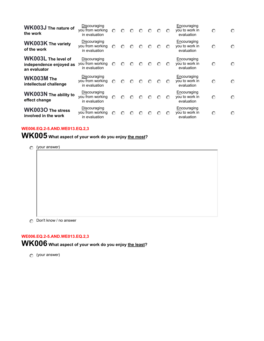| <b>WK003J</b> The nature of<br>the work                               | Discouraging<br>you from working<br>in evaluation | $\odot$ | ⊙       | ៏       | $\mathbb{C}$ | $\odot$ | $\odot$ | $\odot$ | Encouraging<br>you to work in<br>evaluation | $\odot$   | $\odot$ |
|-----------------------------------------------------------------------|---------------------------------------------------|---------|---------|---------|--------------|---------|---------|---------|---------------------------------------------|-----------|---------|
| <b>WK003K The variety</b><br>of the work                              | Discouraging<br>you from working<br>in evaluation | ⊙       | ∩       | ⊙       | ⊙            | $\odot$ | $\odot$ | $\odot$ | Encouraging<br>you to work in<br>evaluation | $\odot$   | $\odot$ |
| <b>WK003L The level of</b><br>independence enjoyed as<br>an evaluator | Discouraging<br>you from working<br>in evaluation | $\odot$ | ∩       | ៏       | ⊙            | $\odot$ | $\odot$ | $\odot$ | Encouraging<br>you to work in<br>evaluation | $\odot$   | ∩       |
| WK003M The<br>intellectual challenge                                  | Discouraging<br>you from working<br>in evaluation | $\odot$ | ∩       | $\odot$ | ៏            | $\odot$ | $\odot$ | ⊙       | Encouraging<br>you to work in<br>evaluation | $\odot$   | $\odot$ |
| <b>WK003N</b> The ability to<br>effect change                         | Discouraging<br>you from working<br>in evaluation | $\odot$ | $\odot$ | ៏       | ៏            | $\odot$ | $\odot$ | $\odot$ | Encouraging<br>you to work in<br>evaluation | $\bigcap$ | $\odot$ |
| <b>WK003O The stress</b><br>involved in the work                      | Discouraging<br>you from working<br>in evaluation | ⊙       | ៏       | ៏       | (⊖           | ៏       | $\odot$ | $\odot$ | Encouraging<br>you to work in<br>evaluation | $\odot$   | $\odot$ |

#### **WE006.EQ.2-5.AND.WE013.EQ.2,3**

**WK005 What aspect of your work do you enjoy the most?** 

**nmlkj** (your answer)

*c* Don't know / no answer

#### **WE006.EQ.2-5.AND.WE013.EQ.2,3**

**WK006 What aspect of your work do you enjoy the least?** 

**nmlkj** (your answer)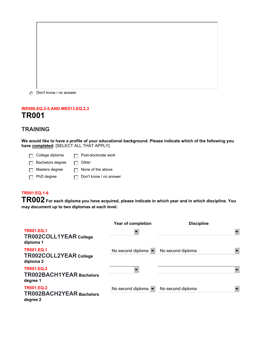*c* Don't know / no answer

#### **WE006.EQ.2-5.AND.WE013.EQ.2,3 TR001**

#### **TRAINING**

**We would like to have a profile of your educational background. Please indicate which of the following you have completed:** [SELECT ALL THAT APPLY]

**g** College diploma **gives** Post-doctorate work

**g** Bachelors degree **g** Other

**g** Masters degree **gives** None of the above

**g** PhD degree **gives get Don't know / no answer** 

#### **TR001.EQ.1-6**

**TR002 For each diploma you have acquired, please indicate in which year and in which discipline. You may document up to two diplomas at each level.** 

|                                                                  | Year of completion                      | <b>Discipline</b> |  |
|------------------------------------------------------------------|-----------------------------------------|-------------------|--|
| <b>TR001.EQ.1</b><br><b>TR002COLL1YEAR College</b><br>diploma 1  |                                         |                   |  |
| <b>TR001.EQ.1</b><br><b>TR002COLL2YEAR College</b><br>diploma 2  | No second diploma $\blacktriangledown$  | No second diploma |  |
| <b>TR001.EQ.2</b><br><b>TR002BACH1YEAR Bachelors</b><br>degree 1 |                                         |                   |  |
| <b>TR001.EQ.2</b><br><b>TR002BACH2YEAR Bachelors</b><br>degree 2 | No second diploma $\blacktriangleright$ | No second diploma |  |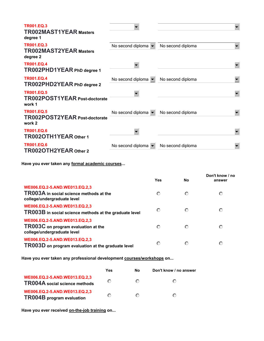| <b>TR001.EO.3</b><br><b>TR002MAST1YEAR Masters</b><br>degree 1      |                                         |                   |  |
|---------------------------------------------------------------------|-----------------------------------------|-------------------|--|
| <b>TR001.EQ.3</b><br><b>TR002MAST2YEAR Masters</b><br>degree 2      | No second diploma $\blacktriangleright$ | No second diploma |  |
| <b>TR001.EO.4</b><br>TR002PHD1YEAR PhD degree 1                     |                                         |                   |  |
| <b>TR001.EQ.4</b><br>TR002PHD2YEAR PhD degree 2                     | No second diploma $\blacktriangleright$ | No second diploma |  |
| <b>TR001.EQ.5</b><br><b>TR002POST1YEAR Post-doctorate</b><br>work 1 |                                         |                   |  |
| <b>TR001.EQ.5</b><br><b>TR002POST2YEAR Post-doctorate</b><br>work 2 | No second diploma                       | No second diploma |  |
| <b>TR001.EQ.6</b><br>TR002OTH1YEAR Other 1                          |                                         |                   |  |
| <b>TR001.EQ.6</b><br>TR002OTH2YEAR Other 2                          | No second diploma                       | No second diploma |  |

**Have you ever taken any formal academic courses...** 

|                                                                                                         | Yes     | <b>No</b> | Don't know / no<br>answer |
|---------------------------------------------------------------------------------------------------------|---------|-----------|---------------------------|
| WE006.EQ.2-5.AND.WE013.EQ.2,3<br>TR003A in social science methods at the<br>college/undergraduate level | $\odot$ | ∩         | $\odot$                   |
| WE006.EQ.2-5.AND.WE013.EQ.2,3<br>TR003B in social science methods at the graduate level                 | $\odot$ | ⊙         | O                         |
| WE006.EQ.2-5.AND.WE013.EQ.2,3<br>TR003C on program evaluation at the<br>college/undergraduate level     | $\odot$ | ⊙         | $\circ$                   |
| WE006.EQ.2-5.AND.WE013.EQ.2,3<br>TR003D on program evaluation at the graduate level                     | $\odot$ | O         | O                         |

**Have you ever taken any professional development courses/workshops on...** 

|                                                                       | Yes | No | Don't know / no answer |
|-----------------------------------------------------------------------|-----|----|------------------------|
| WE006.EQ.2-5.AND.WE013.EQ.2,3<br><b>TR004A</b> social science methods | റ   | ៏  | ∩                      |
| WE006.EQ.2-5.AND.WE013.EQ.2,3<br><b>TR004B</b> program evaluation     | ∩   | ⋒  | ∩                      |

**Have you ever received on-the-job training on...**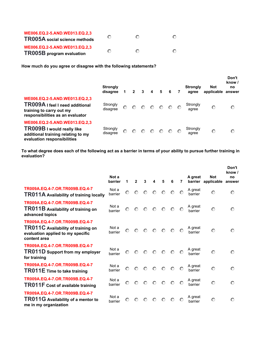| WE006.EQ.2-5.AND.WE013.EQ.2,3<br><b>TR005A</b> social science methods | ៏ | $\Gamma$ |  |
|-----------------------------------------------------------------------|---|----------|--|
| WE006.EQ.2-5.AND.WE013.EQ.2,3<br><b>TR005B</b> program evaluation     | റ | $\Gamma$ |  |

**How much do you agree or disagree with the following statements?** 

|                                                                                                                                         | <b>Strongly</b><br>disagree |         | $\mathbf{2}$ | $\mathbf{3}$ | $\overline{\mathbf{4}}$                                                                              | $5^{\circ}$ | 6 | 7 | <b>Strongly</b><br>agree | Not<br>applicable | Don't<br>know /<br>no<br>answer |
|-----------------------------------------------------------------------------------------------------------------------------------------|-----------------------------|---------|--------------|--------------|------------------------------------------------------------------------------------------------------|-------------|---|---|--------------------------|-------------------|---------------------------------|
| WE006.EQ.2-5.AND.WE013.EQ.2,3<br><b>TR009A</b> I feel I need additional<br>training to carry out my<br>responsibilities as an evaluator | Strongly<br>disagree        | $\odot$ | $\odot$      |              | $\begin{array}{ccccccccccccccccc} \circ & \circ & \circ & \circ & \circ & \circ & \circ \end{array}$ |             |   |   | Strongly<br>agree        | $\odot$           | $\odot$                         |
| WE006.EQ.2-5.AND.WE013.EQ.2,3<br>TR009B I would really like<br>additional training relating to my<br>evaluation responsibilities        | Strongly<br>disagree        | ⊙       | $\odot$      |              | $\begin{array}{ccccccccccccccccc} \circ & \circ & \circ & \circ & \circ & \circ & \circ \end{array}$ |             |   |   | Strongly<br>agree        | $\odot$           | $\circ$                         |

**To what degree does each of the following act as a barrier in terms of your ability to pursue further training in evaluation?** 

|                                                                                                                           | Not a<br>barrier | 1       | $\mathbf{2}$ | 3       | 4                                                              | 5       | 6       | 7       | A great<br>barrier | <b>Not</b><br>applicable | Don't<br>know /<br>no<br>answer |
|---------------------------------------------------------------------------------------------------------------------------|------------------|---------|--------------|---------|----------------------------------------------------------------|---------|---------|---------|--------------------|--------------------------|---------------------------------|
| TR009A.EQ.4-7.OR.TR009B.EQ.4-7<br>TR011A Availability of training locally                                                 | Not a<br>barrier | $\odot$ | $\odot$      | $\odot$ | $\circ$                                                        | $\odot$ | $\odot$ | $\odot$ | A great<br>barrier | $\odot$                  | $\odot$                         |
| TR009A.EQ.4-7.OR.TR009B.EQ.4-7<br>TR011B Availability of training on<br>advanced topics                                   | Not a<br>barrier | $\odot$ | $\odot$      | $\odot$ | $\odot$                                                        | $\odot$ | $\odot$ | $\odot$ | A great<br>barrier | $\odot$                  | $\odot$                         |
| TR009A.EQ.4-7.OR.TR009B.EQ.4-7<br>TR011C Availability of training on<br>evaluation applied to my specific<br>content area | Not a<br>barrier | $\odot$ |              |         | $\begin{array}{ccc} \circ & \circ & \circ & \circ \end{array}$ |         |         | $\odot$ | A great<br>barrier | $\odot$                  | $\odot$                         |
| TR009A.EQ.4-7.OR.TR009B.EQ.4-7<br>TR011D Support from my employer<br>for training                                         | Not a<br>barrier | $\odot$ | $\odot$      | $\odot$ | $\circ$                                                        | $\odot$ | $\odot$ | $\odot$ | A great<br>barrier | $\odot$                  | $\odot$                         |
| TR009A.EQ.4-7.OR.TR009B.EQ.4-7<br>TR011E Time to take training                                                            | Not a<br>barrier | $\odot$ | $\odot$      | $\odot$ | $\odot$                                                        | $\odot$ | $\circ$ | $\odot$ | A great<br>barrier | $\odot$                  | $\odot$                         |
| TR009A.EQ.4-7.OR.TR009B.EQ.4-7<br>TR011F Cost of available training                                                       | Not a<br>barrier | $\odot$ | $\odot$      | $\odot$ | $\odot$                                                        | $\odot$ | $\odot$ | $\odot$ | A great<br>barrier | $\odot$                  | $\odot$                         |
| TR009A.EQ.4-7.OR.TR009B.EQ.4-7<br>TR011G Availability of a mentor to<br>me in my organization                             | Not a<br>barrier | $\odot$ | $\odot$      | $\odot$ | $\odot$                                                        | $\odot$ | $\odot$ | $\odot$ | A great<br>barrier | $\odot$                  | $\odot$                         |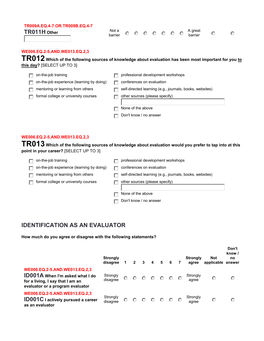#### **TR009A.EQ.4-7.OR.TR009B.EQ.4-7 TR011H** Other Not a Not a Not a

barrier **nmlkj nmlkj nmlkj nmlkj nmlkj nmlkj nmlkj** A great barrier **nmlkj nmlkj**

#### **WE006.EQ.2-5.AND.WE013.EQ.2,3**

TR012 Which of the following sources of knowledge about evaluation has been most important for you to **this day?** [SELECT UP TO 3]

| on-the-job training                       | professional development workshops                       |
|-------------------------------------------|----------------------------------------------------------|
| on-the-job experience (learning by doing) | conferences on evaluation                                |
| mentoring or learning from others         | self-directed learning (e.g., journals, books, websites) |
| formal college or university courses      | other sources (please specify)                           |
|                                           | None of the above                                        |
|                                           | Don't know / no answer                                   |

#### **WE006.EQ.2-5.AND.WE013.EQ.2,3**

**TR013 Which of the following sources of knowledge about evaluation would you prefer to tap into at this point in your career?** [SELECT UP TO 3]

| on-the-job training                       | professional development workshops                       |
|-------------------------------------------|----------------------------------------------------------|
| on-the-job experience (learning by doing) | conferences on evaluation                                |
| mentoring or learning from others         | self-directed learning (e.g., journals, books, websites) |
| formal college or university courses      | other sources (please specify)                           |
|                                           | None of the above                                        |
|                                           | Don't know / no answer                                   |

### **IDENTIFICATION AS AN EVALUATOR**

**How much do you agree or disagree with the following statements?**

|                                                                                                                                                 | <b>Strongly</b><br>disagree |         | $\overline{2}$ | $\overline{\mathbf{3}}$ | $\overline{4}$ | 5 <sub>5</sub> | 6 <sup>6</sup>  | <b>Strongly</b><br>agree | <b>Not</b><br>applicable | Don't<br>know /<br>no<br>answer |
|-------------------------------------------------------------------------------------------------------------------------------------------------|-----------------------------|---------|----------------|-------------------------|----------------|----------------|-----------------|--------------------------|--------------------------|---------------------------------|
| WE006.EQ.2-5.AND.WE013.EQ.2,3<br><b>ID001A</b> When I'm asked what I do<br>for a living, I say that I am an<br>evaluator or a program evaluator | Strongly<br>disagree        | $\odot$ | $\circ$        | $O$ $O$                 |                | $\circ$        | $\circ$ $\circ$ | Strongly<br>agree        | $\odot$                  | $\odot$                         |
| WE006.EQ.2-5.AND.WE013.EQ.2,3<br><b>ID001C</b> I actively pursued a career<br>as an evaluator                                                   | Strongly<br>disagree        | $\odot$ | $\circ$        | $\circ$                 | $\circ$        | $\odot$        | $\circ$ $\circ$ | Strongly<br>agree        | $\circ$                  | $\circ$                         |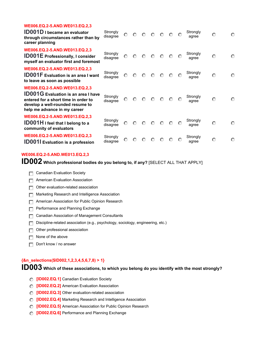| WE006.EQ.2-5.AND.WE013.EQ.2,3<br><b>ID001D</b> I became an evaluator<br>through circumstances rather than by<br>career planning                                                         | Strongly<br>disagree | $\odot$ | $\odot$ | $\circ$ | $\odot$         | $\circ$ | $\odot$ | $\odot$ | Strongly<br>agree | $\odot$ | $\odot$ |
|-----------------------------------------------------------------------------------------------------------------------------------------------------------------------------------------|----------------------|---------|---------|---------|-----------------|---------|---------|---------|-------------------|---------|---------|
| WE006.EQ.2-5.AND.WE013.EQ.2,3<br><b>ID001E</b> Professionally, I consider<br>myself an evaluator first and foremost                                                                     | Strongly<br>disagree | $\odot$ | $\circ$ |         | $O$ $O$ $O$     |         | $\circ$ | $\odot$ | Strongly<br>agree | $\odot$ | $\odot$ |
| WE006.EQ.2-5.AND.WE013.EQ.2,3<br><b>ID001F</b> Evaluation is an area I want<br>to leave as soon as possible                                                                             | Strongly<br>disagree | $\odot$ | $\odot$ | $\odot$ | $\circ$ $\circ$ |         | $\circ$ | $\odot$ | Strongly<br>agree | $\odot$ | $\odot$ |
| WE006.EQ.2-5.AND.WE013.EQ.2,3<br><b>ID001G</b> Evaluation is an area I have<br>entered for a short time in order to<br>develop a well-rounded resume to<br>help me advance in my career | Strongly<br>disagree | $\odot$ | $\odot$ | $\odot$ |                 | $O$ $O$ | $\circ$ | $\odot$ | Strongly<br>agree | $\odot$ | $\odot$ |
| WE006.EQ.2-5.AND.WE013.EQ.2,3<br><b>ID001H</b> I feel that I belong to a<br>community of evaluators                                                                                     | Strongly<br>disagree | $\odot$ | $\circ$ | $\circ$ | $\circ$         | $\circ$ | $\circ$ | $\odot$ | Strongly<br>agree | $\odot$ | $\odot$ |
| WE006.EQ.2-5.AND.WE013.EQ.2,3<br><b>ID001I</b> Evaluation is a profession                                                                                                               | Strongly<br>disagree | $\circ$ | $\odot$ | $\odot$ | ⊙               | ∩       | $\odot$ | $\odot$ | Strongly<br>agree | $\odot$ | $\odot$ |

#### **WE006.EQ.2-5.AND.WE013.EQ.2,3**

**ID002 Which professional bodies do you belong to, if any?** [SELECT ALL THAT APPLY]

- **Ganadian Evaluation Society**
- **FFI** American Evaluation Association
- **g** Other evaluation-related association
- **Fig. Marketing Research and Intelligence Association**
- **Fig. 2** American Association for Public Opinion Research
- **F** Performance and Planning Exchange
- **T** Canadian Association of Management Consultants
- **g** Discipline-related association (e.g., psychology, sociology, engineering, etc.)
- **c** Other professional association
- **g** None of the above
- **g** Don't know / no answer

#### **{&n\_selections(\$ID002,1,2,3,4,5,6,7,8) > 1}**

**ID003 Which of these associations, to which you belong do you identify with the most strongly?** 

- *C* [ID002.EQ.1] Canadian Evaluation Society
- *C* [ID002.EQ.2] American Evaluation Association
- *C* [ID002.EQ.3] Other evaluation-related association
- *C* **[ID002.EQ.4]** Marketing Research and Intelligence Association
- **nmlkj [ID002.EQ.5]** American Association for Public Opinion Research
- *C* **[ID002.EQ.6]** Performance and Planning Exchange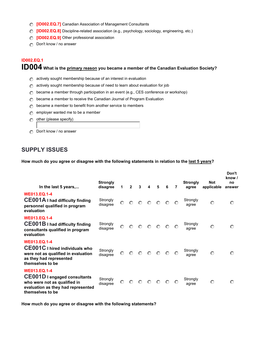- **nmlkj [ID002.EQ.7]** Canadian Association of Management Consultants
- **nmlkj [ID002.EQ.8]** Discipline-related association (e.g., psychology, sociology, engineering, etc.)
- **nmlkj [ID002.EQ.9]** Other professional association
- *c* Don't know / no answer

#### **ID002.EQ.1**

## **ID004 What is the primary reason you became a member of the Canadian Evaluation Society?**

- **nm** actively sought membership because of an interest in evaluation
- **nm** actively sought membership because of need to learn about evaluation for job
- **became a member through participation in an event (e.g., CES conference or workshop)**
- **n** became a member to receive the Canadian Journal of Program Evaluation
- **n** became a member to benefit from another service to members
- **n** employer wanted me to be a member
- **c** other (please specify)
- **ing** Don't know / no answer

#### **SUPPLY ISSUES**

**How much do you agree or disagree with the following statements in relation to the last 5 years?**

| In the last 5 years,                                                                                                                                 | <b>Strongly</b><br>disagree | 1       | $\overline{2}$ | $\mathbf{3}$                                                                                         | $\boldsymbol{4}$                                                               | 5 | -6 | $\overline{7}$ | <b>Strongly</b><br>agree | <b>Not</b><br>applicable | Don't<br>know /<br>no<br>answer |
|------------------------------------------------------------------------------------------------------------------------------------------------------|-----------------------------|---------|----------------|------------------------------------------------------------------------------------------------------|--------------------------------------------------------------------------------|---|----|----------------|--------------------------|--------------------------|---------------------------------|
| <b>WE013.EQ.1-4</b><br><b>CE001A</b> I had difficulty finding<br>personnel qualified in program<br>evaluation                                        | Strongly<br>disagree        | $\odot$ |                | $\begin{array}{ccccccccccccccccc} \circ & \circ & \circ & \circ & \circ & \circ & \circ \end{array}$ |                                                                                |   |    |                | Strongly<br>agree        | $\odot$                  | $\odot$                         |
| <b>WE013.EQ.1-4</b><br><b>CE001B</b> I had difficulty finding<br>consultants qualified in program<br>evaluation                                      | Strongly<br>disagree        | $\odot$ |                | $\begin{array}{ccccccccccccccccc} \circ & \circ & \circ & \circ & \circ & \circ & \circ \end{array}$ |                                                                                |   |    |                | Strongly<br>agree        | $\odot$                  | $\odot$                         |
| <b>WE013.EQ.1-4</b><br><b>CE001C</b> I hired individuals who<br>were not as qualified in evaluation<br>as they had represented<br>themselves to be   | Strongly<br>disagree        |         |                | $\begin{array}{ccc} \circ & \circ & \circ & \circ & \circ \end{array}$                               |                                                                                |   |    | $\odot$        | Strongly<br>agree        | $\odot$                  | $\odot$                         |
| <b>WE013.EQ.1-4</b><br><b>CE001D</b> I engaged consultants<br>who were not as qualified in<br>evaluation as they had represented<br>themselves to be | Strongly<br>disagree        | $\odot$ | $\odot$        | $\odot$                                                                                              | $\begin{array}{ccccccccc}\n\circ & \circ & \circ & \circ & \circ\n\end{array}$ |   |    |                | Strongly<br>agree        | $\odot$                  | $\circ$                         |

**How much do you agree or disagree with the following statements?**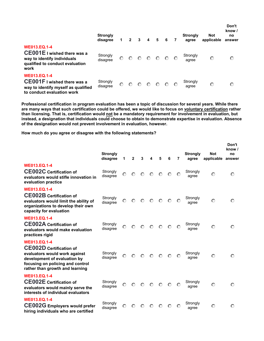|                                                                                                                                     | <b>Strongly</b><br>disagree | 1       | $\mathbf{2}$ | 3       | 4       | 5           | 6       | 7       | <b>Strongly</b><br>agree | <b>Not</b><br>applicable | Don't<br>know /<br>no<br>answer |
|-------------------------------------------------------------------------------------------------------------------------------------|-----------------------------|---------|--------------|---------|---------|-------------|---------|---------|--------------------------|--------------------------|---------------------------------|
| <b>WE013.EQ.1-4</b><br><b>CE001E</b> I wished there was a<br>way to identify individuals<br>qualified to conduct evaluation<br>work | Strongly<br>disagree        | $\odot$ | $\odot$      | $\odot$ |         | $O$ $O$ $O$ |         | $\circ$ | Strongly<br>agree        | $\odot$                  | $\odot$                         |
| <b>WE013.EQ.1-4</b><br><b>CE001F</b> I wished there was a<br>way to identify myself as qualified<br>to conduct evaluation work      | Strongly<br>disagree        | $\odot$ | $\odot$      | $\odot$ | $\odot$ | $\odot$     | $\circ$ |         | Strongly<br>agree        | $\odot$                  | $\circ$                         |

**Professional certification in program evaluation has been a topic of discussion for several years. While there are many ways that such certification could be offered, we would like to focus on voluntary certification rather than licensing. That is, certification would not be a mandatory requirement for involvement in evaluation, but instead, a designation that individuals could choose to obtain to demonstrate expertise in evaluation. Absence of the designation would not prevent involvement in evaluation, however.**

**How much do you agree or disagree with the following statements?**

|                                                                                                                                                                                               | <b>Strongly</b><br>disagree | 1       | $\mathbf{2}$ | 3       | 4       | 5                                                                                                            | 6       | 7       | <b>Strongly</b><br>agree | <b>Not</b><br>applicable | Don't<br>know /<br>no<br>answer |
|-----------------------------------------------------------------------------------------------------------------------------------------------------------------------------------------------|-----------------------------|---------|--------------|---------|---------|--------------------------------------------------------------------------------------------------------------|---------|---------|--------------------------|--------------------------|---------------------------------|
| <b>WE013.EQ.1-4</b><br><b>CE002C</b> Certification of<br>evaluators would stifle innovation in<br>evaluation practice                                                                         | Strongly<br>disagree        | $\odot$ | $\odot$      | $\circ$ | $\odot$ |                                                                                                              | $O$ $O$ | $\odot$ | Strongly<br>agree        | $\odot$                  | $\odot$                         |
| <b>WE013.EQ.1-4</b><br><b>CE002B</b> Certification of<br>evaluators would limit the ability of<br>organizations to develop their own<br>capacity for evaluation                               | Strongly<br>disagree        |         |              |         |         | $\begin{array}{ccccccccccccccccc} \circ & \circ & \circ & \circ & \circ & \circ & \circ & \circ \end{array}$ |         | $\odot$ | Strongly<br>agree        | $\odot$                  | $\odot$                         |
| <b>WE013.EO.1-4</b><br><b>CE002A Certification of</b><br>evaluators would make evaluation<br>practices rigid                                                                                  | Strongly<br>disagree        | $\odot$ | $\odot$      | $\odot$ | $\odot$ | $\odot$                                                                                                      | $\circ$ | $\odot$ | Strongly<br>agree        | $\odot$                  | $\odot$                         |
| <b>WE013.EQ.1-4</b><br><b>CE002D</b> Certification of<br>evaluators would work against<br>development of evaluation by<br>focusing on policing and control<br>rather than growth and learning | Strongly<br>disagree        | $\odot$ |              |         |         | $\begin{array}{ccc} \circ & \circ & \circ & \circ \end{array}$                                               |         | $\odot$ | Strongly<br>agree        | $\odot$                  | $\odot$                         |
| <b>WE013.EQ.1-4</b><br><b>CE002E</b> Certification of<br>evaluators would mainly serve the<br>interests of individual evaluators                                                              | Strongly<br>disagree        |         |              |         |         | $\begin{array}{ccccccccccccccccc} \circ & \circ & \circ & \circ & \circ & \circ & \circ \end{array}$         |         | $\odot$ | Strongly<br>agree        | $\odot$                  | $\odot$                         |
| <b>WE013.EQ.1-4</b><br><b>CE002G</b> Employers would prefer<br>hiring individuals who are certified                                                                                           | Strongly<br>disagree        | $\odot$ | $\odot$      | $\odot$ | $\odot$ | $\odot$                                                                                                      | $\odot$ | $\odot$ | Strongly<br>agree        | $\odot$                  | $\odot$                         |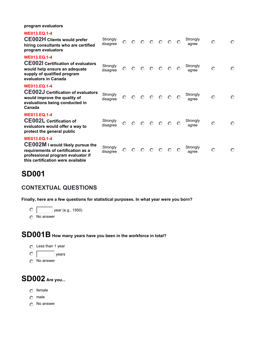**program evaluators**

| <b>WE013.EO.1-4</b><br><b>CE002H Clients would prefer</b><br>hiring consultants who are certified<br>program evaluators                                                        | Strongly<br>disagree |         |             |         | $\begin{array}{ccccccccccccccccc} \circ & \circ & \circ & \circ & \circ & \circ & \circ \end{array}$ |         |         | $\circ$ | Strongly<br>agree | $\odot$ | $\odot$ |
|--------------------------------------------------------------------------------------------------------------------------------------------------------------------------------|----------------------|---------|-------------|---------|------------------------------------------------------------------------------------------------------|---------|---------|---------|-------------------|---------|---------|
| <b>WE013.EQ.1-4</b><br><b>CE002I</b> Certification of evaluators<br>would help ensure an adequate<br>supply of qualified program<br>evaluators in Canada                       | Strongly<br>disagree | $\odot$ |             |         | $\begin{array}{ccccccccccccccccc} \circ & \circ & \circ & \circ & \circ & \circ & \circ \end{array}$ |         |         |         | Strongly<br>agree | $\odot$ | $\odot$ |
| <b>WE013.EQ.1-4</b><br><b>CE002J Certification of evaluators</b><br>would improve the quality of<br>evaluations being conducted in<br>Canada                                   | Strongly<br>disagree |         |             |         | $\begin{array}{ccccccccccccccccc} \circ & \circ & \circ & \circ & \circ & \circ & \circ \end{array}$ |         |         | $\odot$ | Strongly<br>agree | $\odot$ | $\odot$ |
| <b>WE013.EQ.1-4</b><br><b>CE002L Certification of</b><br>evaluators would offer a way to<br>protect the general public                                                         | Strongly<br>disagree | $\odot$ | $O$ $O$ $O$ |         |                                                                                                      | $\circ$ | $\odot$ | $\circ$ | Strongly<br>agree | $\odot$ | $\odot$ |
| <b>WE013.EQ.1-4</b><br><b>CE002M I would likely pursue the</b><br>requirements of certification as a<br>professional program evaluator if<br>this certification were available | Strongly<br>disagree | $\odot$ | $\circ$     | $\circ$ | $\circ$                                                                                              | $\odot$ | $\odot$ | $\odot$ | Strongly<br>agree | $\odot$ | $\odot$ |

## **SD001**

#### **CONTEXTUAL QUESTIONS**

**Finally, here are a few questions for statistical purposes. In what year were you born?**

**nmlkj** year (e.g., 1950)

**nmlkj** No answer

## **SD001B How many years have you been in the workforce in total?**



- 
- **nnn**

## **SD002 Are you...**

- **nmlkj** female
- **nmlkj** male
- **nmlkj** No answer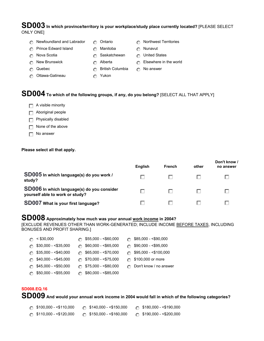#### **SD003 In which province/territory is your workplace/study place currently located?** [PLEASE SELECT ONLY ONE]

- **nm** Newfoundland and Labrador **nm** Ontario **nml** Ontario **nml** Onthwest Territories
- **n** Prince Edward Island **nm nml nml** Manitoba **nml** Nunavut
- -
- **nmalki**  $\bullet$  Saskatchewan **nmlkij United States**
- **nmlkj** New Brunswick **nmlkj** Alberta **nmlkj** Elsewhere in the world
- **nmlkj** Quebec **nmlkj** British Columbia **nmlkj** No answer
- **n** Ottawa-Gatineau **nml nml** Yukon
- 

## **SD004 To which of the following groups, if any, do you belong?** [SELECT ALL THAT APPLY]

- **Fig.** A visible minority
- **Fig.** Aboriginal people
- **Fig.** Physically disabled
- **g** None of the above
- **g** No answer

#### **Please select all that apply.**

|                                                                               | <b>English</b> | <b>French</b> | other | Don't know /<br>no answer |
|-------------------------------------------------------------------------------|----------------|---------------|-------|---------------------------|
| SD005 In which language(s) do you work /<br>study?                            |                |               |       |                           |
| SD006 In which language(s) do you consider<br>yourself able to work or study? |                |               |       |                           |
| SD007 What is your first language?                                            |                |               |       |                           |

## **SD008 Approximately how much was your annual work income in 2004?**

[EXCLUDE REVENUES OTHER THAN WORK-GENERATED; INCLUDE INCOME BEFORE TAXES, INCLUDING BONUSES AND PROFIT SHARING.]

| $\odot$ < \$30,000                  | $\circ$ \$55,000 - <\$60,000 | $\circ$ \$85,000 - <\$90,000    |
|-------------------------------------|------------------------------|---------------------------------|
| $\circ$ \$30,000 - <\$35,000        | $\circ$ \$60,000 - <\$65,000 | $\circ$ \$90,000 - <\$95,000    |
| $\circ$ \$35,000 - <\$40,000        | $\circ$ \$65,000 - <\$70,000 | $\circ$ \$95,000 - <\$100,000   |
| $\circledcirc$ \$40,000 - <\$45,000 | $\circ$ \$70,000 - <\$75,000 | ◯ \$100,000 or more             |
| $\circ$ \$45,000 - <\$50,000        | $\circ$ \$75,000 - <\$80,000 | <b>C</b> Don't know / no answer |
| $\circ$ \$50,000 - <\$55,000        | $\circ$ \$80,000 - <\$85,000 |                                 |

#### **SD008.EQ.16**

**SD009 And would your annual work income in 2004 would fall in which of the following categories?** 

| $\odot$ \$100,000 - <\$110,000 | $\odot$ \$140,000 - <\$150,000 | $\circ$ \$180,000 - <\$190,000 |
|--------------------------------|--------------------------------|--------------------------------|
| $\odot$ \$110,000 - <\$120,000 | $\circ$ \$150,000 - <\$160,000 | $\circ$ \$190,000 - <\$200,000 |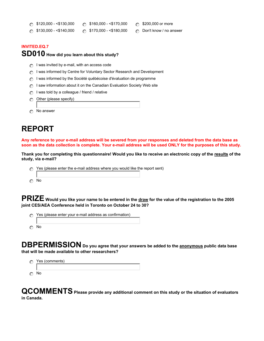| ි \$120,000 - <\$130,000 | $\odot$ \$160,000 - <\$170,0 |
|--------------------------|------------------------------|
|--------------------------|------------------------------|

- **000 6 \$200,000 or more**
- **n** \$130,000 <\$140,000 **nml** \$170,000 <\$180,000 **nm** Don't know / no answer
	-

#### **INVITED.EQ.7**

#### **SD010 How did you learn about this study?**

- **n** I was invited by e-mail, with an access code
- **n** I was informed by Centre for Voluntary Sector Research and Development
- **n** I was informed by the Société québécoise d'évaluation de programme
- *C* I saw information about it on the Canadian Evaluation Society Web site
- **n** I was told by a colleague / friend / relative
- **n** Other (please specify)
- **nmlkj** No answer

## **REPORT**

**Any reference to your e-mail address will be severed from your responses and deleted from the data base as soon as the data collection is complete. Your e-mail address will be used ONLY for the purposes of this study.**

**Thank you for completing this questionnaire! Would you like to receive an electronic copy of the results of the study, via e-mail?**

*c* Yes (please enter the e-mail address where you would like the report sent) **nmlkj** No

**PRIZE Would you like your name to be entered in the draw for the value of the registration to the 2005 joint CES/AEA Conference held in Toronto on October 24 to 30?** 

*c* Yes (please enter your e-mail address as confirmation) **nmlkj** No

**DBPERMISSION Do you agree that your answers be added to the anonymous public data base that will be made available to other researchers?** 



**QCOMMENTS Please provide any additional comment on this study or the situation of evaluators in Canada.**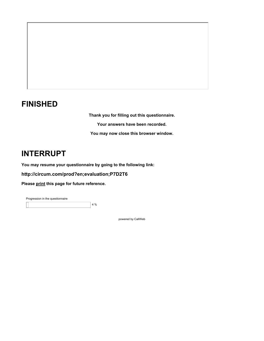## **FINISHED**

**Thank you for filling out this questionnaire. Your answers have been recorded. You may now close this browser window.**

## **INTERRUPT**

**You may resume your questionnaire by going to the following link:**

#### **<http://circum.com/prod?en;evaluation;P7D2T6>**

**Please print this page for future reference.**

Progression in the questionnaire 4 %

powered by CallWeb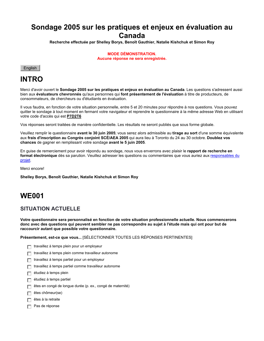## **Sondage 2005 sur les pratiques et enjeux en évaluation au Canada**

**Recherche effectuée par Shelley Borys, Benoît Gauthier, Natalie Kishchuk et Simon Roy**

**MODE DÉMONSTRATION. Aucune réponse ne sera enregistrée.**



## **INTRO**

Merci d'avoir ouvert le **Sondage 2005 sur les pratiques et enjeux en évaluation au Canada**. Les questions s'adressent aussi bien aux **évaluateurs chevronnés** qu'aux personnes qui **font présentement de l'évaluation** à titre de producteurs, de consommateurs, de chercheurs ou d'étudiants en évaluation.

Il vous faudra, en fonction de votre situation personnelle, entre 5 et 20 minutes pour répondre à nos questions. Vous pouvez quitter le sondage à tout moment en fermant votre navigateur et reprendre le questionnaire à la même adresse Web en utilisant votre code d'accès qui est **P7D2T6**

Vos réponses seront traitées de manière confidentielle. Les résultats ne seront publiés que sous forme globale.

Veuillez remplir le questionnaire **avant le 30 juin 2005**; vous serez alors admissible au **tirage au sort** d'une somme équivalente aux **frais d'inscription au Congrès conjoint SCÉ/AEA 2005** qui aura lieu à Toronto du 24 au 30 octobre. **Doublez vos chances** de gagner en remplissant votre sondage **avant le 5 juin 2005**.

En guise de remerciement pour avoir répondu au sondage, nous vous enverrons avec plaisir le **rapport de recherche en format électronique** dès sa parution. Veuillez adresser les questions ou commentaires que vous auriez aux responsables du projet.

Merci encore!

**Shelley Borys, Benoît Gauthier, Natalie Kishchuk et Simon Roy**

## **WE001**

#### **SITUATION ACTUELLE**

**Votre questionnaire sera personnalisé en fonction de votre situation professionnelle actuelle. Nous commencerons donc avec des questions qui peuvent sembler ne pas correspondre au sujet à l'étude mais qui ont pour but de raccourcir autant que possible votre questionnaire.**

**Présentement, est-ce que vous...** [SÉLECTIONNER TOUTES LES RÉPONSES PERTINENTES]

- **Full travaillez à temps plein pour un employeur**
- **gfedc** travaillez à temps plein comme travailleur autonome
- **gfedc** travaillez à temps partiel pour un employeur
- **gfedc** travaillez à temps partiel comme travailleur autonome
- **gfedc** étudiez à temps plein
- **gfedc** étudiez à temps partiel
- êtes en congé de longue durée (p. ex., congé de maternité)
- êtes chômeur(se)
- **gfedc** êtes à la retraite
- Pas de réponse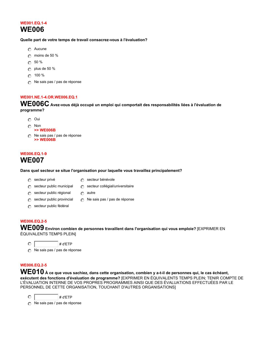#### **WE001.EQ.1-4 WE006**

#### **Quelle part de votre temps de travail consacrez-vous à l'évaluation?**

- **nmlkj** Aucune
- **nmlkj** moins de 50 %
- **nmlkj** 50 %
- **nmlkj** plus de 50 %
- **nmlkj** 100 %
- **nml** Ne sais pas / pas de réponse

#### **WE001.NE.1-4.OR.WE006.EQ.1**

**WE006C Avez-vous déjà occupé un emploi qui comportait des responsabilités liées à l'évaluation de programme?**

- **nmlkj** Oui
- **nmlkj** Non
	- **>> WE006B**
- **nm** Ne sais pas / pas de réponse **>> WE006B**

#### **WE006.EQ.1-9 WE007**

#### **Dans quel secteur se situe l'organisation pour laquelle vous travaillez principalement?**

**nm** secteur collégial/universitaire

- 
- **nml** secteur privé **nmlkj** secteur bénévole

**nmlkj** autre

- **n** secteur public municipal
- **n** secteur public régional
- **n** secteur public provincial **nm** Ne sais pas / pas de réponse
- *c* secteur public fédéral

#### **WE006.EQ.2-5**

**WE009 Environ combien de personnes travaillent dans l'organisation qui vous emploie?** [EXPRIMER EN ÉQUIVALENTS TEMPS PLEIN]

 $\circ$ 

**nm** Ne sais pas / pas de réponse

#### **WE006.EQ.2-5**

**WE010 À ce que vous sachiez, dans cette organisation, combien y a-t-il de personnes qui, le cas échéant, exécutent des fonctions d'évaluation de programme?** [EXPRIMER EN ÉQUIVALENTS TEMPS PLEIN; TENIR COMPTE DE L'ÉVALUATION INTERNE DE VOS PROPRES PROGRAMMES AINSI QUE DES ÉVALUATIONS EFFECTUÉES PAR LE PERSONNEL DE CETTE ORGANISATION, TOUCHANT D'AUTRES ORGANISATIONS]

 $\circ$   $\qquad$   $\qquad$   $\qquad$   $\qquad$   $\qquad$   $\qquad$   $\qquad$   $\qquad$   $\qquad$   $\qquad$   $\qquad$   $\qquad$   $\qquad$   $\qquad$   $\qquad$   $\qquad$   $\qquad$   $\qquad$   $\qquad$   $\qquad$   $\qquad$   $\qquad$   $\qquad$   $\qquad$   $\qquad$   $\qquad$   $\qquad$   $\qquad$   $\qquad$   $\qquad$   $\qquad$   $\qquad$   $\qquad$   $\qquad$   $\qquad$   $\qquad$ 

**n**We sais pas / pas de réponse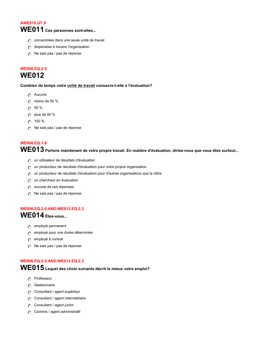#### **AWE010.GT.0**

## **WE011 Ces personnes sont-elles...**

- **c** concentrées dans une seule unité de travail
- **n** dispersées à travers l'organisation
- **nm** Ne sais pas / pas de réponse

## **WE006.EQ.2-5**

## **WE012**

**Combien de temps votre unité de travail consacre-t-elle à l'évaluation?**

- **nmlkj** Aucune
- **nmlkj** moins de 50 %
- **nmlkj** 50 %
- **nmlkj** plus de 50 %
- **nmlkj** 100 %
- *i* Ne sais pas / pas de réponse

#### **WE006.EQ.1-9**

**WE013 Parlons maintenant de votre propre travail. En matière d'évaluation, diriez-vous que vous êtes surtout...**

- **n** un utilisateur de résultats d'évaluation
- *c* un producteur de résultats d'évaluation pour votre propre organisation
- **n** un producteur de résultats d'évaluation pour d'autres organisations que la vôtre
- *c* un chercheur en évaluation
- **nmlkj** aucune de ces réponses
- **nm** Ne sais pas / pas de réponse

#### **WE006.EQ.2-5.AND.WE013.EQ.2,3 WE014 Êtes-vous...**

- **n** employé permanent
- **nmlkj** employé pour une durée déterminée
- **n**employé à contrat
- **n**We sais pas / pas de réponse

#### **WE006.EQ.2-5.AND.WE013.EQ.2,3**

**WE015 Lequel des choix suivants décrit le mieux votre emploi?**

- **nmlkj** Professeur
- **n** Gestionnaire
- **nm** Consultant / agent supérieur
- **C** Consultant / agent intermédiaire
- **c** Consultant / agent junior
- **c** Commis / agent administratif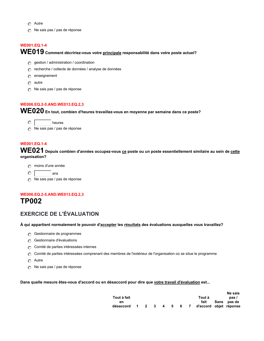- **nmlkj** Autre
- *i* Ne sais pas / pas de réponse

#### **WE001.EQ.1-4**

## **WE019 Comment décririez-vous votre principale responsabilité dans votre poste actuel?**

- **n**gestion / administration / coordination
- **nm** recherche / collecte de données / analyse de données
- **nmlkj** enseignement
- **nmlkj** autre
- **nm** Ne sais pas / pas de réponse

#### **WE006.EQ.2-5.AND.WE013.EQ.2,3**

**WE020 En tout, combien d'heures travaillez-vous en moyenne par semaine dans ce poste?**

**nmlkj** heures

**nm** Ne sais pas / pas de réponse

#### **WE001.EQ.1-4**

**WE021 Depuis combien d'années occupez-vous ce poste ou un poste essentiellement similaire au sein de cette organisation?**

- **nmlkj** moins d'une année
- $\circ$   $\Box$  ans
- *c* Ne sais pas / pas de réponse

#### **WE006.EQ.2-5.AND.WE013.EQ.2,3 TP002**

#### **EXERCICE DE L'ÉVALUATION**

#### **À qui appartient normalement le pouvoir d'accepter les résultats des évaluations auxquelles vous travaillez?**

- *c* Gestionnaire de programmes
- **n** Gestionnaire d'évaluations
- **n** Comité de parties intéressées internes
- **n** Comité de parties intéressées comprenant des membres de l'extérieur de l'organisation où se situe le programme
- **nmlkj** Autre
- **n**We sais pas / pas de réponse

#### **Dans quelle mesure êtes-vous d'accord ou en désaccord pour dire que votre travail d'évaluation est...**

|                                                |  |  |  |        | Ne sais     |
|------------------------------------------------|--|--|--|--------|-------------|
| Tout à fait                                    |  |  |  | Tout à | pas/        |
| en                                             |  |  |  | fait   | Sans pas de |
| désaccord 1 2 3 4 5 6 7 d'accord objet réponse |  |  |  |        |             |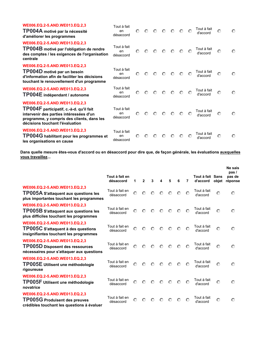| WE006.EQ.2-5.AND.WE013.EQ.2,3<br>TP004A motivé par la nécessité<br>d'améliorer les programmes                                                                                                        | Tout à fait<br>en<br>désaccord | $\odot$ | $\odot$ | $\circ$ | $\odot$ | ⊙       | $\odot$ | $\odot$ | Tout à fait<br>d'accord | $\odot$ | $\odot$ |
|------------------------------------------------------------------------------------------------------------------------------------------------------------------------------------------------------|--------------------------------|---------|---------|---------|---------|---------|---------|---------|-------------------------|---------|---------|
| WE006.EQ.2-5.AND.WE013.EQ.2,3<br>TP004B motivé par l'obligation de rendre<br>des comptes / les exigences de l'organisation<br>centrale                                                               | Tout à fait<br>en<br>désaccord | $\odot$ | $\odot$ | $\odot$ | $\odot$ | $\circ$ | $\odot$ | $\odot$ | Tout à fait<br>d'accord | $\odot$ | $\odot$ |
| WE006.EQ.2-5.AND.WE013.EQ.2,3<br>TP004D motivé par un besoin<br>d'information afin de faciliter les décisions<br>touchant le renouvellement d'un programme                                           | Tout à fait<br>en<br>désaccord | $\odot$ | $\odot$ | $\odot$ | $\odot$ | $\odot$ | $\circ$ | $\circ$ | Tout à fait<br>d'accord | $\odot$ | $\odot$ |
| WE006.EQ.2-5.AND.WE013.EQ.2,3<br>TP004E indépendant / autonome                                                                                                                                       | Tout à fait<br>en<br>désaccord | $\odot$ | $\odot$ | $\odot$ | $\odot$ | $\odot$ | $\circ$ | $\odot$ | Tout à fait<br>d'accord | $\odot$ | $\odot$ |
| WE006.EQ.2-5.AND.WE013.EQ.2,3<br>TP004F participatif, c.-à-d. qu'il fait<br>intervenir des parties intéressées d'un<br>programme, y compris des clients, dans les<br>décisions touchant l'évaluation | Tout à fait<br>en<br>désaccord | $\odot$ | $\odot$ | $\odot$ | $\odot$ | $\odot$ | $\odot$ | $\circ$ | Tout à fait<br>d'accord | $\odot$ | $\odot$ |
| WE006.EQ.2-5.AND.WE013.EQ.2,3<br><b>TP004G</b> habilitant pour les programmes et<br>les organisations en cause                                                                                       | Tout à fait<br>en<br>désaccord | $\odot$ | $\odot$ | $\odot$ | $\odot$ | ⊙       | $\odot$ | $\odot$ | Tout à fait<br>d'accord | $\odot$ | $\odot$ |

**Dans quelle mesure êtes-vous d'accord ou en désaccord pour dire que, de façon générale, les évaluations auxquelles vous travaillez...**

|                                                                                                                         | Tout à fait en<br>désaccord | 1       | $\mathbf{2}$ | 3       | 4       | 5       | 6       | $\overline{7}$ | Tout à fait Sans<br>d'accord | objet   | Ne sais<br>pas/<br>pas de<br>réponse |
|-------------------------------------------------------------------------------------------------------------------------|-----------------------------|---------|--------------|---------|---------|---------|---------|----------------|------------------------------|---------|--------------------------------------|
| WE006.EQ.2-5.AND.WE013.EQ.2,3<br>TP005A S'attaquent aux questions les<br>plus importantes touchant les programmes       | Tout à fait en<br>désaccord | $\odot$ | $\odot$      | $\odot$ | $\odot$ | $\circ$ | $\odot$ | $\odot$        | Tout à fait<br>d'accord      | $\odot$ | $\odot$                              |
| WE006.EQ.2-5.AND.WE013.EQ.2,3<br><b>TP005B</b> S'attaquent aux questions les<br>plus difficiles touchant les programmes | Tout à fait en<br>désaccord | $\odot$ | $\odot$      | $\odot$ | $\odot$ | $\circ$ | $\odot$ | $\odot$        | Tout à fait<br>d'accord      | $\odot$ | $\odot$                              |
| WE006.EQ.2-5.AND.WE013.EQ.2,3<br>TP005C S'attaquent à des questions<br>insignifiantes touchant les programmes           | Tout à fait en<br>désaccord | $\odot$ | $\odot$      | $\odot$ | $\circ$ | $\circ$ | $\circ$ | ⊙              | Tout à fait<br>d'accord      | $\odot$ | $\circ$                              |
| WE006.EQ.2-5.AND.WE013.EQ.2,3<br><b>TP005D Disposent des ressources</b><br>nécessaires pour s'attaquer aux questions    | Tout à fait en<br>désaccord | $\odot$ | $\odot$      | $\odot$ | $\odot$ | $\odot$ | $\odot$ | $\odot$        | Tout à fait<br>d'accord      | $\odot$ | $\odot$                              |
| WE006.EQ.2-5.AND.WE013.EQ.2,3<br>TP005E Utilisent une méthodologie<br>rigoureuse                                        | Tout à fait en<br>désaccord | $\odot$ | $\odot$      | $\odot$ | $\circ$ | $\circ$ | $\odot$ | $\odot$        | Tout à fait<br>d'accord      | $\circ$ | $\circ$                              |
| WE006.EQ.2-5.AND.WE013.EQ.2,3<br>TP005F Utilisent une méthodologie<br>novatrice                                         | Tout à fait en<br>désaccord | $\odot$ | $\odot$      | $\odot$ | $\odot$ | $\circ$ | $\circ$ | ⊙              | Tout à fait<br>d'accord      | $\odot$ | $\odot$                              |
| WE006.EQ.2-5.AND.WE013.EQ.2,3<br><b>TP005G Produisent des preuves</b><br>crédibles touchant les questions à évaluer     | Tout à fait en<br>désaccord | $\odot$ | $\odot$      | $\odot$ | $\odot$ | $\odot$ | $\circ$ | $\odot$        | Tout à fait<br>d'accord      | $\odot$ | $\odot$                              |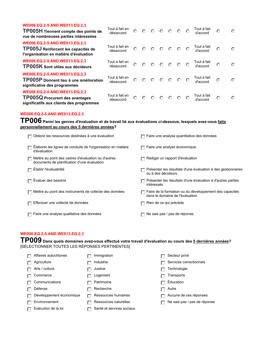| WE006.EQ.2-5.AND.WE013.EQ.2,3<br>TP005H Tiennent compte des points de<br>vue de nombreuses parties intéressées     | Tout à fait en<br>désaccord | $\odot$ |         |             |                 |             |          | Tout à fait<br>d'accord | $\odot$ | $\odot$ |
|--------------------------------------------------------------------------------------------------------------------|-----------------------------|---------|---------|-------------|-----------------|-------------|----------|-------------------------|---------|---------|
| WE006.EQ.2-5.AND.WE013.EQ.2,3<br>TP005J Renforcent les capacités de<br>l'organisation en matière d'évaluation      | Tout à fait en<br>désaccord | $\odot$ |         | $O$ $O$ $O$ |                 | $O$ $O$ $O$ |          | Tout à fait<br>d'accord | $\odot$ | $\odot$ |
| WE006.EQ.2-5.AND.WE013.EQ.2,3<br>TP005K Sont utiles aux décideurs                                                  | Tout à fait en<br>désaccord | $\odot$ |         | $O$ $O$ $O$ | $\circ$ $\circ$ |             | $\Omega$ | Tout à fait<br>d'accord | $\odot$ | $\odot$ |
| WE006.EQ.2-5.AND.WE013.EQ.2,3<br>TP005P Donnent lieu à une amélioration<br>significative des programmes            | Tout à fait en<br>désaccord | $\odot$ |         | $O$ $O$ $O$ | $\circ$ $\circ$ |             | $\odot$  | Tout à fait<br>d'accord | $\odot$ | $\odot$ |
| WE006.EQ.2-5.AND.WE013.EQ.2,3<br><b>TP005Q Procurent des avantages</b><br>significatifs aux clients des programmes | Tout à fait en<br>désaccord | $\odot$ | $\circ$ | $O$ $O$     | $\circ$         | $\circ$     | $\odot$  | Tout à fait<br>d'accord | $\odot$ | $\odot$ |

#### **WE006.EQ.2-5.AND.WE013.EQ.2,3**

#### **TP006 Parmi les genres d'évaluation et de travail lié aux évaluations ci-dessous, lesquels avez-vous faits personnellement au cours des 5 dernières années?**

| Obtenir les ressources destinées à une évaluation                                                  | Faire une analyse quantitative des données                                                 |
|----------------------------------------------------------------------------------------------------|--------------------------------------------------------------------------------------------|
| Elaborer les lignes de conduite de l'organisation en matière<br>d'évaluation                       | $\sqsupset$ Faire une analyse économique                                                   |
| Mettre au point des cadres d'évaluation ou d'autres<br>documents de planification d'une évaluation | Rédiger un rapport d'évaluation                                                            |
| Établir l'évaluabilité                                                                             | Présenter les résultats d'une évaluation à des gestionnaires<br>ou à des décideurs         |
| Évaluer des besoins                                                                                | Présenter les résultats d'une évaluation à d'autres parties<br>intéressés                  |
| Mettre au point des instruments de collecte des données                                            | Faire de la formation ou du développement des capacités<br>dans le domaine de l'évaluation |
| Effectuer une collecte de données                                                                  | Rien de ce qui précède                                                                     |
| Faire une analyse qualitative des données                                                          | Ne sais pas / pas de réponse                                                               |
|                                                                                                    |                                                                                            |

#### **WE006.EQ.2-5.AND.WE013.EQ.2,3**

**TP009 Dans quels domaines avez-vous effectué votre travail d'évaluation au cours des 5 dernières années?**  [SÉLECTIONNER TOUTES LES RÉPONSES PERTINENTES]

| Affaires autochtones     | Immigration               | Secteur privé                |
|--------------------------|---------------------------|------------------------------|
| Agriculture              | Industrie                 | Services correctionnels      |
| Arts / culture           | Justice                   | Technologie                  |
| Commerce                 | Logement                  | Transports                   |
| Communications           | Patrimoine                | Éducation                    |
| Défense                  | Recherche                 | Autre                        |
| Développement économique | Ressources humaines       | Aucune de ces réponses       |
| Environnement            | Ressources naturelles     | Ne sais pas / pas de réponse |
| Exécution de la loi      | Santé et services sociaux |                              |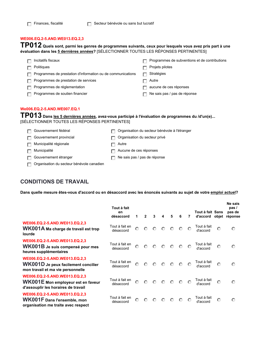**TP012 Quels sont, parmi les genres de programmes suivants, ceux pour lesquels vous avez pris part à une évaluation dans les 5 dernières années?** [SÉLECTIONNER TOUTES LES RÉPONSES PERTINENTES]

| Incitatifs fiscaux                                          | Programmes de subventions et de contributions |
|-------------------------------------------------------------|-----------------------------------------------|
| Politiques                                                  | Projets pilotes                               |
| Programmes de prestation d'information ou de communications | Stratégies                                    |
| Programmes de prestation de services                        | Autre                                         |
| Programmes de réglementation                                | aucune de ces réponses                        |
| Programmes de soutien financier                             | Ne sais pas / pas de réponse                  |
|                                                             |                                               |

#### **We006.EQ.2-5.AND.WE007.EQ.1**

## **TP013 Dans les 5 dernières années, avez-vous participé à l'évaluation de programmes du /d'un(e)...** [SÉLECTIONNER TOUTES LES RÉPONSES PERTINENTES]

| Gouvernement fédéral                      | □ Organisation du secteur bénévole à l'étranger |
|-------------------------------------------|-------------------------------------------------|
| Gouvernement provincial                   | Organisation du secteur privé                   |
| Municipalité régionale                    | Autre                                           |
| Municipalité                              | $\Box$ Aucune de ces réponses                   |
| Gouvernement étranger                     | $\Box$ Ne sais pas / pas de réponse             |
| Organisation du secteur bénévole canadien |                                                 |

### **CONDITIONS DE TRAVAIL**

**Dans quelle mesure êtes-vous d'accord ou en désaccord avec les énoncés suivants au sujet de votre emploi actuel?**

|                                                                                                            | Tout à fait<br>en<br>désaccord | 1       | $\mathbf{2}$ | 3       | 4       | 5       | 6       | 7       | Tout à fait Sans<br>d'accord | objet   | Ne sais<br>pas/<br>pas de<br>réponse |
|------------------------------------------------------------------------------------------------------------|--------------------------------|---------|--------------|---------|---------|---------|---------|---------|------------------------------|---------|--------------------------------------|
| WE006.EQ.2-5.AND.WE013.EQ.2,3<br>WK001A Ma charge de travail est trop<br>lourde                            | Tout à fait en<br>désaccord    | $\odot$ | $\odot$      | $\odot$ | $\circ$ | $\circ$ | $\odot$ | $\odot$ | Tout à fait<br>d'accord      | $\odot$ | $\circ$                              |
| WE006.EQ.2-5.AND.WE013.EQ.2,3<br>WK001B Je suis compensé pour mes<br>heures supplémentaires                | Tout à fait en<br>désaccord    | $\odot$ | $\odot$      |         | $O$ $O$ | $\circ$ | $\circ$ | $\odot$ | Tout à fait<br>d'accord      | $\odot$ | $\circ$                              |
| WE006.EQ.2-5.AND.WE013.EQ.2,3<br>WK001D Je peux facilement concilier<br>mon travail et ma vie personnelle  | Tout à fait en<br>désaccord    | $\odot$ | $\odot$      | $\circ$ | $\circ$ | $\circ$ | $\odot$ | $\odot$ | Tout à fait<br>d'accord      | $\odot$ | $\circ$                              |
| WE006.EQ.2-5.AND.WE013.EQ.2,3<br>WK001E Mon employeur est en faveur<br>d'assouplir les horaires de travail | Tout à fait en<br>désaccord    | $\odot$ | $\odot$      | $\odot$ | $\circ$ | $\circ$ | $\circ$ | $\odot$ | Tout à fait<br>d'accord      | $\odot$ | $\odot$                              |
| WE006.EQ.2-5.AND.WE013.EQ.2,3<br><b>WK001F</b> Dans l'ensemble, mon<br>organisation me traite avec respect | Tout à fait en<br>désaccord    | $\odot$ | $\circ$      | $\circ$ | $\circ$ | $\circ$ | $\odot$ | $\odot$ | Tout à fait<br>d'accord      | $\odot$ | $\odot$                              |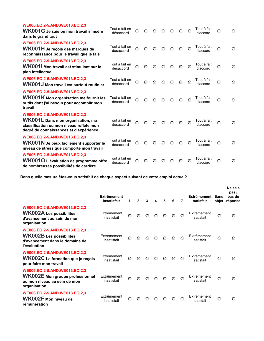| WE006.EQ.2-5.AND.WE013.EQ.2,3<br>WK001G Je sais où mon travail s'insère<br>dans le grand tout                                                           | Tout à fait en<br>désaccord | $\odot$ | $\odot$ | $\odot$ | $\circ$ | $\odot$ | $\odot$ | $\odot$  | Tout à fait<br>d'accord | $\odot$ | $\odot$ |
|---------------------------------------------------------------------------------------------------------------------------------------------------------|-----------------------------|---------|---------|---------|---------|---------|---------|----------|-------------------------|---------|---------|
| WE006.EQ.2-5.AND.WE013.EQ.2,3<br>WK001H Je reçois des marques de<br>reconnaissance pour le travail que je fais                                          | Tout à fait en<br>désaccord | $\odot$ | $\odot$ | $\odot$ | $\circ$ | $\odot$ | $\odot$ | $\Omega$ | Tout à fait<br>d'accord | $\odot$ | $\odot$ |
| WE006.EQ.2-5.AND.WE013.EQ.2,3<br>WK001I Mon travail est stimulant sur le<br>plan intellectuel                                                           | Tout à fait en<br>désaccord | $\odot$ | $\circ$ | $\circ$ | $\circ$ | $\odot$ | $\odot$ | $\odot$  | Tout à fait<br>d'accord | $\odot$ | $\odot$ |
| WE006.EQ.2-5.AND.WE013.EQ.2,3<br>WK001J Mon travail est surtout routinier                                                                               | Tout à fait en<br>désaccord | $\odot$ | $\odot$ | $\odot$ | $\odot$ | $\circ$ | $\odot$ | $\odot$  | Tout à fait<br>d'accord | $\odot$ | $\odot$ |
| WE006.EQ.2-5.AND.WE013.EQ.2,3<br><b>WK001K Mon organisation me fournit les</b><br>outils dont j'ai besoin pour accomplir mon<br>travail                 | Tout à fait en<br>désaccord | $\odot$ | $\odot$ | $\odot$ | $\odot$ | $\odot$ | $\odot$ | $\odot$  | Tout à fait<br>d'accord | $\odot$ | $\odot$ |
| WE006.EQ.2-5.AND.WE013.EQ.2,3<br>WK001L Dans mon organisation, ma<br>classification ou mon niveau reflète mon<br>degré de connaissances et d'expérience | Tout à fait en<br>désaccord | $\odot$ | $\odot$ | $\odot$ | $\circ$ | $\odot$ | $\odot$ | ⊙        | Tout à fait<br>d'accord | $\odot$ | $\odot$ |
| WE006.EQ.2-5.AND.WE013.EQ.2,3<br>WK001N Je peux facilement supporter le<br>niveau de stress que comporte mon travail                                    | Tout à fait en<br>désaccord | $\odot$ | $\odot$ | $\odot$ | $\odot$ | $\odot$ | $\odot$ | $\odot$  | Tout à fait<br>d'accord | $\odot$ | $\odot$ |
| WE006.EQ.2-5.AND.WE013.EQ.2,3<br>WK001O L'évaluation de programme offre<br>de nombreuses possibilités de carrière                                       | Tout à fait en<br>désaccord | $\odot$ | $\odot$ | $\odot$ | $\odot$ | $\odot$ | $\odot$ | $\odot$  | Tout à fait<br>d'accord | $\odot$ | $\circ$ |

**Dans quelle mesure êtes-vous satisfait de chaque aspect suivant de votre emploi actuel?**

|                                                                                                                         | <b>Extrêmement</b><br>insatisfait | 1       | $\mathbf{2}$ | 3       | 4       | 5       | 6       | $\overline{7}$ | <b>Extrêmement</b><br>satisfait | <b>Sans</b><br>obiet | Ne sais<br>pas /<br>pas de<br>réponse |
|-------------------------------------------------------------------------------------------------------------------------|-----------------------------------|---------|--------------|---------|---------|---------|---------|----------------|---------------------------------|----------------------|---------------------------------------|
| WE006.EQ.2-5.AND.WE013.EQ.2,3<br><b>WK002A Les possibilités</b><br>d'avancement au sein de mon<br>organisation          | Extrêmement<br>insatisfait        | $\circ$ | $\circ$      | $\odot$ | $\odot$ | $\odot$ | $\odot$ | $\odot$        | Extrêmement<br>satisfait        | $\odot$              | $\circ$                               |
| WE006.EQ.2-5.AND.WE013.EQ.2,3<br><b>WK002B Les possibilités</b><br>d'avancement dans le domaine de<br>l'évaluation      | Extrêmement<br>insatisfait        | $\odot$ | $\circ$      | $\circ$ | $\odot$ | $\odot$ | $\odot$ | $\odot$        | Extrêmement<br>satisfait        | $\odot$              | $\circ$                               |
| WE006.EQ.2-5.AND.WE013.EQ.2,3<br>WK002C La formation que je reçois<br>pour faire mon travail                            | Extrêmement<br>insatisfait        | $\odot$ | $\circ$      | $\circ$ | $\odot$ | $\odot$ | $\odot$ | $\odot$        | Extrêmement<br>satisfait        | $\odot$              | $\odot$                               |
| WE006.EQ.2-5.AND.WE013.EQ.2,3<br><b>WK002E</b> Mon groupe professionnel<br>ou mon niveau au sein de mon<br>organisation | Extrêmement<br>insatisfait        | $\odot$ | $\circ$      | $\odot$ | $\odot$ | $\odot$ | $\odot$ | $\odot$        | Extrêmement<br>satisfait        | $\odot$              | $\odot$                               |
| WE006.EQ.2-5.AND.WE013.EQ.2,3<br><b>WK002F Mon niveau de</b><br>rémunération                                            | Extrêmement<br>insatisfait        | $\odot$ | $\odot$      | $\odot$ | $\odot$ | ⊙       | ⊙       | ⊙              | Extrêmement<br>satisfait        | $\odot$              | $\odot$                               |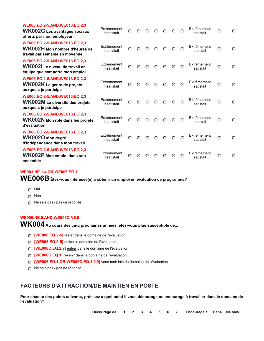| WE006.EQ.2-5.AND.WE013.EQ.2,3<br>WK002G Les avantages sociaux<br>offerts par mon employeur        | Extrêmement<br>insatisfait | $\odot$ | $\odot$ | $\odot$ | $\odot$ | $\odot$ | $\odot$ | $\odot$ | Extrêmement<br>satisfait | $\odot$ | $\circ$ |
|---------------------------------------------------------------------------------------------------|----------------------------|---------|---------|---------|---------|---------|---------|---------|--------------------------|---------|---------|
| WE006.EQ.2-5.AND.WE013.EQ.2,3<br>WK002H Mon nombre d'heures de<br>travail par semaine en moyenne  | Extrêmement<br>insatisfait | $\odot$ | $\odot$ | $\circ$ | $\odot$ | $\odot$ | $\odot$ | $\odot$ | Extrêmement<br>satisfait | $\odot$ | $\odot$ |
| WE006.EQ.2-5.AND.WE013.EQ.2,3<br>WK0021 Le niveau de travail en<br>équipe que comporte mon emploi | Extrêmement<br>insatisfait | $\odot$ | $\circ$ | $\circ$ | $\odot$ | $\odot$ | $\odot$ | $\odot$ | Extrêmement<br>satisfait | $\odot$ | $\circ$ |
| WE006.EQ.2-5.AND.WE013.EQ.2,3<br>WK002K Le genre de projets<br>auxquels je participe              | Extrêmement<br>insatisfait | $\odot$ | $\odot$ | $\circ$ | $\odot$ | $\odot$ | ⊙       | ⊙       | Extrêmement<br>satisfait | $\odot$ | $\odot$ |
| WE006.EQ.2-5.AND.WE013.EQ.2,3<br>WK002M La diversité des projets<br>auxquels je participe         | Extrêmement<br>insatisfait | $\odot$ | $\odot$ | $\odot$ | $\odot$ | $\odot$ | $\odot$ | $\odot$ | Extrêmement<br>satisfait | $\odot$ | $\odot$ |
| WE006.EQ.2-5.AND.WE013.EQ.2,3<br>WK002N Mon rôle dans les projets<br>d'évaluation                 | Extrêmement<br>insatisfait | $\odot$ | $\circ$ | $\odot$ | $\odot$ | $\odot$ | $\odot$ | $\odot$ | Extrêmement<br>satisfait | $\odot$ | $\odot$ |
| WE006.EQ.2-5.AND.WE013.EQ.2,3<br>WK002O Mon degré<br>d'indépendance dans mon travail              | Extrêmement<br>insatisfait | $\odot$ | $\circ$ | $\odot$ | $\odot$ | $\circ$ | $\odot$ | $\circ$ | Extrêmement<br>satisfait | $\odot$ | $\odot$ |
| WE006.EQ.2-5.AND.WE013.EQ.2,3<br>WK002P Mon emploi dans son<br>ensemble                           | Extrêmement<br>insatisfait | $\odot$ | $\odot$ | ∩       | ∩       | ៏       | ⊙       | $\odot$ | Extrêmement<br>satisfait | $\odot$ | $\odot$ |

#### **WE001.NE.1-4.OR.WE006.EQ.1**

**WE006B Êtes-vous intéressé(e) à obtenir un emploi en évaluation de programme?**

- **nmlkj** Oui
- **nmlkj** Non
- **nm** Ne sais pas / pas de réponse

#### **WE006.NE.9.AND.WE006C.NE.9**

**WK004 Au cours des cinq prochaines années, êtes-vous plus susceptible de...**

- *C* [WE006.EQ.2-5] rester dans le domaine de l'évaluation
- **nmlkj [WE006.EQ.2-5]** quitter le domaine de l'évaluation
- **nmlkj [WE006C.EQ.2,9]** entrer dans le domaine de l'évaluation
- **nmlkj [WE006C.EQ.1]** revenir dans le domaine de l'évaluation
- **nmlkj [WE006.EQ.1.OR.WE006C.EQ.1,2,9]** vous tenir loin du domaine de l'évaluation
- **nm** Ne sais pas / pas de réponse

#### **FACTEURS D'ATTRACTION/DE MAINTIEN EN POSTE**

**Pour chacun des points suivants, précisez à quel point il vous décourage ou encourage à travailler dans le domaine de l'évaluation?**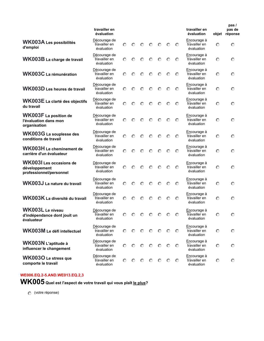|                                                                            | travailler en<br>évaluation                 |         |         |         |         |         |         |         | travailler en<br>évaluation                | objet   | pas/<br>pas de<br>réponse |
|----------------------------------------------------------------------------|---------------------------------------------|---------|---------|---------|---------|---------|---------|---------|--------------------------------------------|---------|---------------------------|
| <b>WK003A Les possibilités</b><br>d'emploi                                 | Décourage de<br>travailler en<br>évaluation | ⊙       | $\circ$ | $\circ$ | $\circ$ | $\circ$ | $\odot$ | $\odot$ | Encourage à<br>travailler en<br>évaluation | $\odot$ | $\circ$                   |
| WK003B La charge de travail                                                | Décourage de<br>travailler en<br>évaluation | $\circ$ | $\odot$ | $\odot$ | $\odot$ | $\odot$ | $\odot$ | O       | Encourage à<br>travailler en<br>évaluation | $\odot$ | $\odot$                   |
| WK003C La rémunération                                                     | Décourage de<br>travailler en<br>évaluation | ⊙       | ⊙       | $\circ$ | $\circ$ | $\odot$ | O       | Θ       | Encourage à<br>travailler en<br>évaluation | $\odot$ | $\circ$                   |
| WK003D Les heures de travail                                               | Décourage de<br>travailler en<br>évaluation | ⊙       | O       | $\odot$ | $\odot$ | $\odot$ | $\odot$ | $\odot$ | Encourage à<br>travailler en<br>évaluation | $\odot$ | $\odot$                   |
| WK003E La clarté des objectifs<br>du travail                               | Décourage de<br>travailler en<br>évaluation | $\odot$ | $\odot$ | $\circ$ | $\odot$ | $\odot$ | $\circ$ | $\odot$ | Encourage à<br>travailler en<br>évaluation | $\odot$ | $\circ$                   |
| <b>WK003F</b> La position de<br>l'évaluation dans mon<br>organisation      | Décourage de<br>travailler en<br>évaluation | ⊙       | $\odot$ | $\odot$ | $\odot$ | $\odot$ | $\odot$ | $\odot$ | Encourage à<br>travailler en<br>évaluation | $\odot$ | $\odot$                   |
| WK003G La souplesse des<br>conditions de travail                           | Décourage de<br>travailler en<br>évaluation | ⊙       | $\odot$ | $\odot$ | $\odot$ | $\odot$ | $\odot$ | O       | Encourage à<br>travailler en<br>évaluation | $\odot$ | $\odot$                   |
| WK003H Le cheminement de<br>carrière d'un évaluateur                       | Décourage de<br>travailler en<br>évaluation | ⊙       | $\odot$ | $\circ$ | $\odot$ | $\odot$ | $\odot$ | $\odot$ | Encourage à<br>travailler en<br>évaluation | $\odot$ | $\circ$                   |
| <b>WK003I</b> Les occasions de<br>développement<br>professionnel/personnel | Décourage de<br>travailler en<br>évaluation | ⊙       | ⊙       | ⊙       | $\odot$ | ⊙       | $\odot$ | $\odot$ | Encourage à<br>travailler en<br>évaluation | $\odot$ | $\odot$                   |
| WK003J La nature du travail                                                | Décourage de<br>travailler en<br>évaluation | $\odot$ | $\odot$ | $\odot$ | $\odot$ | $\odot$ | $\odot$ | $\odot$ | Encourage à<br>travailler en<br>évaluation | $\odot$ | $\odot$                   |
| WK003K La diversité du travail                                             | Décourage de<br>travailler en<br>évaluation | ⊙       | ⊙       | ∩       | ⊙       | ⊙       | ⊙       | O       | Encourage à<br>travailler en<br>évaluation | $\odot$ | $\odot$                   |
| WK003L Le niveau<br>d'indépendance dont jouit un<br>évaluateur             | Décourage de<br>travailler en<br>évaluation | $\circ$ | $\circ$ | O       | O       | O       | O       | O       | Encourage à<br>travailler en<br>évaluation | $\circ$ | $\circ$                   |
| <b>WK003M Le défi intellectuel</b>                                         | Décourage de<br>travailler en<br>évaluation | $\odot$ | ⊙       | O       | O       | $\odot$ | $\odot$ | $\odot$ | Encourage à<br>travailler en<br>évaluation | $\odot$ | $\odot$                   |
| WK003N L'aptitude à<br>influencer le changement                            | Décourage de<br>travailler en<br>évaluation | $\circ$ | $\odot$ | $\odot$ | $\odot$ | $\odot$ | $\odot$ | $\odot$ | Encourage à<br>travailler en<br>évaluation | $\odot$ | $\circ$                   |
| WK003O Le stress que<br>comporte le travail                                | Décourage de<br>travailler en<br>évaluation | $\circ$ | $\circ$ | $\odot$ | $\odot$ | $\odot$ | $\odot$ | $\odot$ | Encourage à<br>travailler en<br>évaluation | $\odot$ | $\circ$                   |

**WK005 Quel est l'aspect de votre travail qui vous plaît le plus?**

**nmlkj** (votre réponse)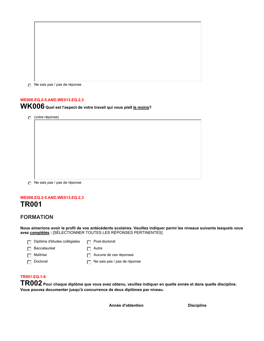*i* Ne sais pas / pas de réponse

#### **WE006.EQ.2-5.AND.WE013.EQ.2,3**

**WK006 Quel est l'aspect de votre travail qui vous plaît le moins?**

**nmlkj** (votre réponse)

*n* Ne sais pas / pas de réponse

## **WE006.EQ.2-5.AND.WE013.EQ.2,3 TR001**

#### **FORMATION**

**Nous aimerions avoir le profil de vos antécédents scolaires. Veuillez indiquer parmi les niveaux suivants lesquels vous avez complétés :** [SÉLECTIONNER TOUTES LES RÉPONSES PERTINENTES]

| $\Box$ Diplôme d'études collégiales | $\Box$ Post-doctorat                |
|-------------------------------------|-------------------------------------|
| $\Box$ Baccalauréat                 | $\Box$ Autre                        |
| $\Box$ Maîtrise                     | Aucune de ces réponses              |
| $\Box$ Doctorat                     | $\Box$ Ne sais pas / pas de réponse |

#### **TR001.EQ.1-6**

**TR002 Pour chaque diplôme que vous avez obtenu, veuillez indiquer en quelle année et dans quelle discipline. Vous pouvez documenter jusqu'à concurrence de deux diplômes par niveau.**

**Année d'obtention Discipline**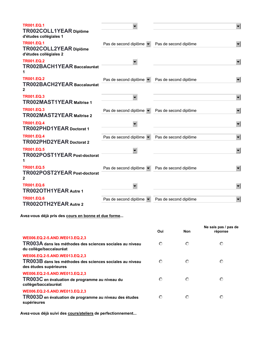| <b>TR001.EQ.1</b><br>TR002COLL1YEAR Diplôme<br>d'études collégiales 1 |                                                            |                       |                      |
|-----------------------------------------------------------------------|------------------------------------------------------------|-----------------------|----------------------|
| <b>TR001.EQ.1</b><br>TR002COLL2YEAR Diplôme<br>d'études collégiales 2 | Pas de second diplôme $\blacktriangledown$                 | Pas de second diplôme |                      |
| <b>TR001.EQ.2</b><br>TR002BACH1YEAR Baccalauréat<br>1                 |                                                            |                       |                      |
| <b>TR001.EQ.2</b><br>TR002BACH2YEAR Baccalauréat<br>$\mathbf{2}$      | Pas de second diplôme v                                    | Pas de second diplôme |                      |
| <b>TR001.EQ.3</b><br>TR002MAST1YEAR Maîtrise 1                        |                                                            |                       |                      |
| <b>TR001.EQ.3</b><br>TR002MAST2YEAR Maîtrise 2                        | Pas de second diplôme $\blacktriangledown$                 | Pas de second diplôme | $\blacktriangledown$ |
| <b>TR001.EQ.4</b><br><b>TR002PHD1YEAR Doctorat 1</b>                  |                                                            |                       | $\blacktriangledown$ |
| <b>TR001.EQ.4</b><br>TR002PHD2YEAR Doctorat 2                         | Pas de second diplôme $\blacktriangledown$                 | Pas de second diplôme |                      |
| <b>TR001.EQ.5</b><br><b>TR002POST1YEAR Post-doctorat</b><br>1         |                                                            |                       | $\blacktriangledown$ |
| <b>TR001.EQ.5</b><br><b>TR002POST2YEAR Post-doctorat</b><br>2         | Pas de second diplôme $\mathbf{v}$   Pas de second diplôme |                       |                      |
| <b>TR001.EQ.6</b><br>TR002OTH1YEAR Autre 1                            |                                                            |                       |                      |
| <b>TR001.EQ.6</b><br>TR002OTH2YEAR Autre 2                            | Pas de second diplôme v                                    | Pas de second diplôme |                      |

**Avez-vous déjà pris des cours en bonne et due forme...**

|                                                                                                                      | Oui     | Non     | Ne sais pas / pas de<br>réponse |
|----------------------------------------------------------------------------------------------------------------------|---------|---------|---------------------------------|
| WE006.EQ.2-5.AND.WE013.EQ.2,3<br>TR003A dans les méthodes des sciences sociales au niveau<br>du collège/baccalauréat | $\odot$ | $\odot$ | $\circ$                         |
| WE006.EQ.2-5.AND.WE013.EQ.2,3<br>TR003B dans les méthodes des sciences sociales au niveau<br>des études supérieures  | $\circ$ | $\circ$ | $\circ$                         |
| WE006.EQ.2-5.AND.WE013.EQ.2,3<br>TR003C en évaluation de programme au niveau du<br>collège/baccalauréat              | ⊙       | $\odot$ | $\circ$                         |
| WE006.EQ.2-5.AND.WE013.EQ.2,3<br>TR003D en évaluation de programme au niveau des études<br>supérieures               | $\circ$ | $\circ$ | $\circ$                         |

**Avez-vous déjà suivi des cours/ateliers de perfectionnement...**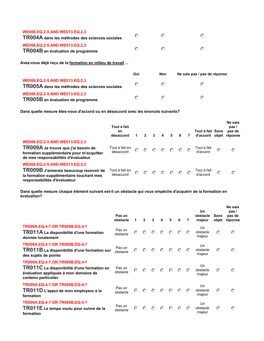| WE006.EQ.2-5.AND.WE013.EQ.2.3<br>TR004A dans les méthodes des sciences sociales | $\odot$ |  |
|---------------------------------------------------------------------------------|---------|--|
| WE006.EQ.2-5.AND.WE013.EQ.2.3<br>TR004B en évaluation de programme              | G       |  |

**Avez-vous déjà reçu de la formation en milieu de travail ...**

|                                                                                 | Oui | <b>Non</b> | Ne sais pas / pas de réponse |
|---------------------------------------------------------------------------------|-----|------------|------------------------------|
| WE006.EQ.2-5.AND.WE013.EQ.2,3<br>TR005A dans les méthodes des sciences sociales | ⊙   |            | ∩                            |
| WE006.EQ.2-5.AND.WE013.EQ.2,3<br>TR005B en évaluation de programme              | ∩   |            | ∩                            |

**Dans quelle mesure êtes-vous d'accord ou en désaccord avec les énoncés suivants?**

|                                                                                                                                                          | Tout à fait<br>en<br>désaccord |         | 2       | 3       | 4       | 5       | -6      | 7       | Tout à fait Sans<br>d'accord obiet |         | Ne sais<br>pas/<br>pas de<br>réponse |
|----------------------------------------------------------------------------------------------------------------------------------------------------------|--------------------------------|---------|---------|---------|---------|---------|---------|---------|------------------------------------|---------|--------------------------------------|
| WE006.EQ.2-5.AND.WE013.EQ.2,3<br>TR009A Je trouve que j'ai besoin de<br>formation supplémentaire pour m'acquitter<br>de mes responsabilités d'évaluateur | Tout à fait en<br>désaccord    | $\odot$ | $\odot$ | $\odot$ | $\circ$ | $\circ$ | $\circ$ | $\circ$ | Tout à fait<br>d'accord            | $\odot$ | $\circ$                              |
| WE006.EQ.2-5.AND.WE013.EQ.2,3<br>TR009B J'aimerais beaucoup recevoir de<br>la formation supplémentaire touchant mes<br>responsabilités d'évaluateur      | Tout à fait en<br>désaccord    | $\odot$ | $\odot$ | $\odot$ | $\odot$ | $\odot$ | $\odot$ | $\odot$ | Tout à fait<br>d'accord            | $\circ$ | $\circ$                              |

**Dans quelle mesure chaque élément suivant est-il un obstacle qui vous empêche d'acquérir de la formation en évaluation?**

|                                                                                                                                              | Pas un<br>obstacle |         | 2       |         |         | 5       | 6       | 7       | Un<br>obstacle<br>majeur | Sans<br>objet | Ne sais<br>pas/<br>pas de<br>réponse |
|----------------------------------------------------------------------------------------------------------------------------------------------|--------------------|---------|---------|---------|---------|---------|---------|---------|--------------------------|---------------|--------------------------------------|
| TR009A.EQ.4-7.OR.TR009B.EQ.4-7<br>TR011A La disponibilité d'une formation<br>donnée localement                                               | Pas un<br>obstacle | $\odot$ | $\odot$ | $\circ$ | $\circ$ | $\circ$ | $\odot$ | $\odot$ | Un<br>obstacle<br>majeur | $\odot$       | $\circ$                              |
| TR009A.EQ.4-7.OR.TR009B.EQ.4-7<br>TR011B La disponibilité d'une formation sur<br>des sujets de pointe                                        | Pas un<br>obstacle | $\odot$ | $\odot$ | $\odot$ | $\circ$ | $\odot$ | $\odot$ | $\odot$ | Un<br>obstacle<br>majeur | $\odot$       | $\circ$                              |
| TR009A.EQ.4-7.OR.TR009B.EQ.4-7<br>TR011C La disponibilité d'une formation en<br>évaluation appliquée à mon domaine de<br>contenu particulier | Pas un<br>obstacle | $\odot$ | $\odot$ | $\odot$ | $\odot$ | $\odot$ | $\odot$ | $\odot$ | Un<br>obstacle<br>majeur | $\odot$       | $\odot$                              |
| TR009A.EQ.4-7.OR.TR009B.EQ.4-7<br>TR011D L'appui de mon employeur à la<br>formation                                                          | Pas un<br>obstacle | $\odot$ | $\circ$ | $\odot$ | $\odot$ | $\odot$ | $\circ$ | $\odot$ | Un<br>obstacle<br>majeur | $\odot$       | $\circ$                              |
| TR009A.EQ.4-7.OR.TR009B.EQ.4-7<br>TR011E Le temps voulu pour suivre de la<br>formation                                                       | Pas un<br>obstacle | $\odot$ | $\odot$ | $\odot$ | $\odot$ | ⊙       | $\odot$ | $\odot$ | Un<br>obstacle<br>majeur | $\odot$       | $\odot$                              |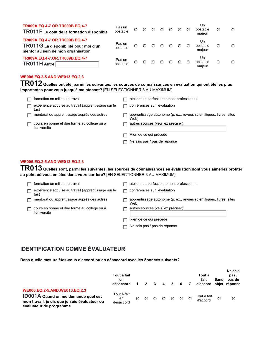| TR009A.EQ.4-7.OR.TR009B.EQ.4-7<br>TR011F Le coût de la formation disponible                                   | Pas un<br>obstacle | $\odot$ | ៏ | $\odot$  | $\Omega$ | ∩       | Un<br>obstacle<br>majeur | € | $\odot$ |
|---------------------------------------------------------------------------------------------------------------|--------------------|---------|---|----------|----------|---------|--------------------------|---|---------|
| TR009A.EQ.4-7.OR.TR009B.EQ.4-7<br>TR011G La disponibilité pour moi d'un<br>mentor au sein de mon organisation | Pas un<br>obstacle | $\odot$ | ⊙ | $\odot$  | ⊙        | $\odot$ | Un<br>obstacle<br>majeur | € | $\odot$ |
| TR009A.EQ.4-7.OR.TR009B.EQ.4-7<br>TR011H Autre                                                                | Pas un<br>obstacle | $\odot$ | ⊙ | $\Omega$ | ⊙        | ⊙       | Un<br>obstacle<br>maieur | € | $\circ$ |

**TR012 Quelles ont été, parmi les suivantes, les sources de connaissances en évaluation qui ont été les plus importantes pour vous jusqu'à maintenant?** [EN SÉLECTIONNER 3 AU MAXIMUM]

| formation en milieu de travail                              | ateliers de perfectionnement professionnel                                  |
|-------------------------------------------------------------|-----------------------------------------------------------------------------|
| expérience acquise au travail (apprentissage sur le<br>tas) | conférences sur l'évaluation                                                |
| mentorat ou apprentissage auprès des autres                 | apprentissage autonome (p. ex., revues scientifiques, livres, sites<br>Web) |
| cours en bonne et due forme au collège ou à<br>l'université | autres sources (veuillez préciser)                                          |
|                                                             | Rien de ce qui précède                                                      |
|                                                             | Ne sais pas / pas de réponse                                                |

#### **WE006.EQ.2-5.AND.WE013.EQ.2,3**

**TR013 Quelles sont, parmi les suivantes, les sources de connaissances en évaluation dont vous aimeriez profiter au point où vous en êtes dans votre carrière?** [EN SÉLECTIONNER 3 AU MAXIMUM]

| formation en milieu de travail                              | ateliers de perfectionnement professionnel                                  |
|-------------------------------------------------------------|-----------------------------------------------------------------------------|
| expérience acquise au travail (apprentissage sur le<br>tas) | conférences sur l'évaluation                                                |
| mentorat ou apprentissage auprès des autres                 | apprentissage autonome (p. ex., revues scientifiques, livres, sites<br>Web) |
| cours en bonne et due forme au collège ou à<br>l'université | autres sources (veuillez préciser)                                          |
|                                                             | Rien de ce qui précède                                                      |
|                                                             | Ne sais pas / pas de réponse                                                |

## **IDENTIFICATION COMME ÉVALUATEUR**

**Dans quelle mesure êtes-vous d'accord ou en désaccord avec les énoncés suivants?**

|                                                                                                                                                         | Tout à fait<br>en<br>désaccord |   | $\overline{2}$ | -3      | $\overline{\mathbf{4}}$ | 56              | $\overline{7}$ | Tout à<br>fait<br>d'accord obiet | Sans    | Ne sais<br>pas/<br>pas de<br>réponse |
|---------------------------------------------------------------------------------------------------------------------------------------------------------|--------------------------------|---|----------------|---------|-------------------------|-----------------|----------------|----------------------------------|---------|--------------------------------------|
| WE006.EQ.2-5.AND.WE013.EQ.2,3<br><b>ID001A</b> Quand on me demande quel est<br>mon travail, je dis que je suis évaluateur ou<br>évaluateur de programme | Tout à fait<br>en<br>désaccord | െ | $\odot$        | $\circ$ | $\circ$ 0 $\circ$       | $\circ$ $\circ$ |                | Tout à fait<br>d'accord          | $\odot$ | $\circ$                              |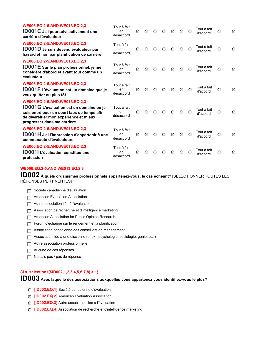| WE006.EQ.2-5.AND.WE013.EQ.2,3<br>ID001C J'ai poursuivi activement une<br>carrière d'évaluateur                                                                                                           | Tout à fait<br>en<br>désaccord | $\odot$ | $\odot$ | $\odot$ | $\odot$ | $\odot$ | $\odot$ | $\odot$ | Tout à fait<br>d'accord | $\odot$ | $\odot$ |
|----------------------------------------------------------------------------------------------------------------------------------------------------------------------------------------------------------|--------------------------------|---------|---------|---------|---------|---------|---------|---------|-------------------------|---------|---------|
| WE006.EQ.2-5.AND.WE013.EQ.2,3<br>ID001D Je suis devenu évaluateur par<br>hasard et non par planification de carrière                                                                                     | Tout à fait<br>en<br>désaccord | ⊙       | $\odot$ | $\odot$ | $\circ$ | $\odot$ | $\circ$ | $\odot$ | Tout à fait<br>d'accord | $\odot$ | $\odot$ |
| WE006.EQ.2-5.AND.WE013.EQ.2,3<br><b>ID001E</b> Sur le plan professionnel, je me<br>considère d'abord et avant tout comme un<br>évaluateur                                                                | Tout à fait<br>en<br>désaccord | $\odot$ | $\odot$ | $\circ$ | $\circ$ | $\odot$ | $\odot$ | $\circ$ | Tout à fait<br>d'accord | $\odot$ | $\odot$ |
| WE006.EQ.2-5.AND.WE013.EQ.2,3<br><b>ID001F</b> L'évaluation est un domaine que je<br>veux quitter au plus tôt                                                                                            | Tout à fait<br>en<br>désaccord | $\odot$ | $\odot$ | $\odot$ | $\circ$ | $\circ$ | $\odot$ | $\odot$ | Tout à fait<br>d'accord | $\odot$ | $\odot$ |
| WE006.EQ.2-5.AND.WE013.EQ.2,3<br><b>ID001G</b> L'évaluation est un domaine où je<br>suis entré pour un court laps de temps afin<br>de diversifier mon expérience et mieux<br>progresser dans ma carrière | Tout à fait<br>en<br>désaccord | $\odot$ | $\odot$ | $\odot$ | $\odot$ | $\odot$ | $\odot$ | $\circ$ | Tout à fait<br>d'accord | $\odot$ | $\odot$ |
| WE006.EQ.2-5.AND.WE013.EQ.2,3<br><b>ID001H</b> J'ai l'impression d'appartenir à une<br>communauté d'évaluateurs                                                                                          | Tout à fait<br>en<br>désaccord | $\odot$ | $\odot$ | $\odot$ | $\odot$ | $\odot$ | $\circ$ | $\circ$ | Tout à fait<br>d'accord | $\odot$ | $\circ$ |
| WE006.EQ.2-5.AND.WE013.EQ.2,3<br><b>ID001I</b> L'évaluation constitue une<br>profession                                                                                                                  | Tout à fait<br>en<br>désaccord | $\odot$ | ៏       | ⊙       | ⊙       | $\odot$ | $\odot$ | ∩       | Tout à fait<br>d'accord | $\odot$ | $\odot$ |

**ID002 À quels organismes professionnels appartenez-vous, le cas échéant?** [SÉLECTIONNER TOUTES LES RÉPONSES PERTINENTES]

|  |  |  | $\Box$ Société canadienne d'évaluation |
|--|--|--|----------------------------------------|
|--|--|--|----------------------------------------|

- **Fig. 2** American Evaluation Association
- **g** Autre association liée à l'évaluation
- **Fig. Association de recherche et d'intelligence marketing**
- **Fig. 2** American Association for Public Opinion Research
- **Forum d'échange sur le rendement et la planification**
- **Fig. Association canadienne des conseillers en management**
- **gfedc** Association liée à une discipline (p. ex., psychologie, sociologie, génie, etc.)
- **Fig. 2** Autre association professionnelle
- **g** Aucune de ces réponses
- **Data** Ne sais pas / pas de réponse

#### **{&n\_selections(\$ID002,1,2,3,4,5,6,7,8) > 1}**

**ID003 Avec laquelle des associations auxquelles vous appartenez vous identifiez-vous le plus?**

- **nmlkj [ID002.EQ.1]** Société canadienne d'évaluation
- **nmlkj [ID002.EQ.2]** American Evaluation Association
- *C* [ID002.EQ.3] Autre association liée à l'évaluation
- **nmlkj [ID002.EQ.4]** Association de recherche et d'intelligence marketing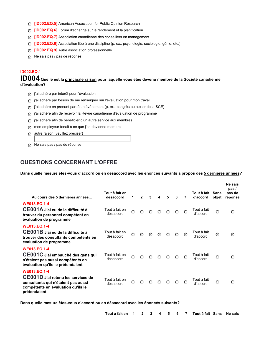- **nmlkj [ID002.EQ.5]** American Association for Public Opinion Research
- **nmlkj [ID002.EQ.6]** Forum d'échange sur le rendement et la planification
- **nmlkj [ID002.EQ.7]** Association canadienne des conseillers en management
- **nmlkj [ID002.EQ.8]** Association liée à une discipline (p. ex., psychologie, sociologie, génie, etc.)
- **nmlkj [ID002.EQ.9]** Autre association professionnelle
- **nm** Ne sais pas / pas de réponse

#### **ID002.EQ.1**

**ID004 Quelle est la principale raison pour laquelle vous êtes devenu membre de la Société canadienne d'évaluation?**

- **p** j'ai adhéré par intérêt pour l'évaluation
- **nmlkj** j'ai adhéré par besoin de me renseigner sur l'évaluation pour mon travail
- **nmlkj** j'ai adhéré en prenant part à un événement (p. ex., congrès ou atelier de la SCÉ)
- **nmlkj** j'ai adhéré afin de recevoir la Revue canadienne d'évaluation de programme
- **n**j'ai adhéré afin de bénéficier d'un autre service aux membres
- **c** mon employeur tenait à ce que j'en devienne membre
- **nm** autre raison (veuillez préciser)
- **nm** Ne sais pas / pas de réponse

## **QUESTIONS CONCERNANT L'OFFRE**

**Dans quelle mesure êtes-vous d'accord ou en désaccord avec les énoncés suivants à propos des 5 dernières années?**

| Au cours des 5 dernières années                                                                                                                        | Tout à fait en<br>désaccord | 1       | $\overline{2}$ | 3                                                                                            | $\overline{4}$ | 5               | 6       | $\overline{7}$ | Tout à fait<br>d'accord | Sans<br>objet | Ne sais<br>pas /<br>pas de<br>réponse |
|--------------------------------------------------------------------------------------------------------------------------------------------------------|-----------------------------|---------|----------------|----------------------------------------------------------------------------------------------|----------------|-----------------|---------|----------------|-------------------------|---------------|---------------------------------------|
| <b>WE013.EQ.1-4</b><br>CE001A J'ai eu de la difficulté à<br>trouver du personnel compétent en<br>évaluation de programme                               | Tout à fait en<br>désaccord |         |                | $\begin{array}{ccc} \circ & \circ & \circ & \circ & \circ \end{array}$                       |                |                 | $\circ$ | ∩              | Tout à fait<br>d'accord | $\odot$       | $\circ$                               |
| <b>WE013.EQ.1-4</b><br>CE001B J'ai eu de la difficulté à<br>trouver des consultants compétents en<br>évaluation de programme                           | Tout à fait en<br>désaccord | $\odot$ |                | $\begin{array}{ccccccccccccccccc} \circ & \circ & \circ & \circ & \circ & \circ \end{array}$ |                |                 |         | $\odot$        | Tout à fait<br>d'accord | $\circ$       | $\circ$                               |
| <b>WE013.EQ.1-4</b><br>CE001C J'ai embauché des gens qui<br>n'étaient pas aussi compétents en<br>évaluation qu'ils le prétendaient                     | Tout à fait en<br>désaccord | $\odot$ | $\circ$        | $\circ$                                                                                      | $\circ$        | $\odot$         | $\circ$ | $\odot$        | Tout à fait<br>d'accord | $\odot$       | $\circ$                               |
| <b>WE013.EQ.1-4</b><br>CE001D J'ai retenu les services de<br>consultants qui n'étaient pas aussi<br>compétents en évaluation qu'ils le<br>prétendaient | Tout à fait en<br>désaccord | $\odot$ | $\odot$        | $\circ$                                                                                      |                | $\circ$ $\circ$ | $\circ$ | $\odot$        | Tout à fait<br>d'accord | $\circ$       | $\circ$                               |

**Dans quelle mesure êtes-vous d'accord ou en désaccord avec les énoncés suivants?**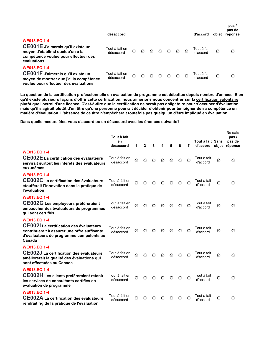|                                                                                                                                                      | désaccord                   |         |         |         |                                                                                |         |                 | d'accord                | objet   | pas /<br>pas de<br>réponse |
|------------------------------------------------------------------------------------------------------------------------------------------------------|-----------------------------|---------|---------|---------|--------------------------------------------------------------------------------|---------|-----------------|-------------------------|---------|----------------------------|
| <b>WE013.EQ.1-4</b><br>CE001E J'aimerais qu'il existe un<br>moyen d'établir si quelqu'un a la<br>compétence voulue pour effectuer des<br>évaluations | Tout à fait en<br>désaccord | $\odot$ | $\odot$ | $\odot$ | $\begin{array}{ccccccccc}\n\circ & \circ & \circ & \circ & \circ\n\end{array}$ |         |                 | Tout à fait<br>d'accord | O       | $\circ$                    |
| <b>WE013.EQ.1-4</b><br>CE001F J'aimerais qu'il existe un<br>moyen de montrer que j'ai la compétence<br>voulue pour effectuer des évaluations         | Tout à fait en<br>désaccord | $\odot$ | $\odot$ | $\odot$ | $\odot$                                                                        | $\odot$ | $\circ$ $\circ$ | Tout à fait<br>d'accord | $\circ$ | $\odot$                    |

**La question de la certification professionnelle en évaluation de programme est débattue depuis nombre d'années. Bien qu'il existe plusieurs façons d'offrir cette certification, nous aimerions nous concentrer sur la certification volontaire plutôt que l'octroi d'une licence. C'est-à-dire que la certification ne serait pas obligatoire pour s'occuper d'évaluation, mais qu'il s'agirait plutôt d'un titre qu'une personne pourrait décider d'obtenir pour témoigner de sa compétence en matière d'évaluation. L'absence de ce titre n'empêcherait toutefois pas quelqu'un d'être impliqué en évaluation.**

**Dans quelle mesure êtes-vous d'accord ou en désaccord avec les énoncés suivants?**

|                                                                                                                                                                             | Tout à fait<br>en<br>désaccord | 1       | $\mathbf{2}$ | 3       | 4       | 5       | 6       | 7       | Tout à fait Sans<br>d'accord objet |         | Ne sais<br>pas /<br>pas de<br>réponse |
|-----------------------------------------------------------------------------------------------------------------------------------------------------------------------------|--------------------------------|---------|--------------|---------|---------|---------|---------|---------|------------------------------------|---------|---------------------------------------|
| <b>WE013.EQ.1-4</b><br><b>CE002E</b> La certification des évaluateurs<br>servirait surtout les intérêts des évaluateurs<br>eux-mêmes                                        | Tout à fait en<br>désaccord    | $\odot$ | $\odot$      | $\odot$ | $\odot$ | $\odot$ | $\odot$ | $\odot$ | Tout à fait<br>d'accord            | $\odot$ | $\odot$                               |
| <b>WE013.EQ.1-4</b><br>CE002C La certification des évaluateurs<br>étoufferait l'innovation dans la pratique de<br>l'évaluation                                              | Tout à fait en<br>désaccord    | $\odot$ | $\circ$      | $\odot$ | $\odot$ | $\odot$ | $\odot$ | $\odot$ | Tout à fait<br>d'accord            | $\odot$ | $\circ$                               |
| <b>WE013.EO.1-4</b><br>CE002G Les employeurs préféreraient<br>embaucher des évaluateurs de programmes<br>qui sont certifiés                                                 | Tout à fait en<br>désaccord    | $\odot$ | $\odot$      | $\odot$ | $\odot$ | $\odot$ | $\odot$ | $\odot$ | Tout à fait<br>d'accord            | $\odot$ | $\odot$                               |
| <b>WE013.EQ.1-4</b><br><b>CE002I</b> La certification des évaluateurs<br>contribuerait à assurer une offre suffisante<br>d'évaluateurs de programme compétents au<br>Canada | Tout à fait en<br>désaccord    | $\odot$ | $\odot$      | $\odot$ | $\odot$ | $\odot$ | ⊙       | ⊙       | Tout à fait<br>d'accord            | $\odot$ | $\odot$                               |
| <b>WE013.EQ.1-4</b><br>CE002J La certification des évaluateurs<br>améliorerait la qualité des évaluations qui<br>sont effectuées au Canada                                  | Tout à fait en<br>désaccord    | $\odot$ | $\circ$      | $\odot$ | $\odot$ | $\odot$ | $\odot$ | $\odot$ | Tout à fait<br>d'accord            | $\odot$ | $\odot$                               |
| <b>WE013.EQ.1-4</b><br>CE002H Les clients préféreraient retenir<br>les services de consultants certifiés en<br>évaluation de programme                                      | Tout à fait en<br>désaccord    | $\odot$ | $\circ$      | $\odot$ | $\odot$ | $\odot$ | $\odot$ | $\odot$ | Tout à fait<br>d'accord            | $\odot$ | $\odot$                               |
| <b>WE013.EQ.1-4</b><br>CE002A La certification des évaluateurs<br>rendrait rigide la pratique de l'évaluation                                                               | Tout à fait en<br>désaccord    | $\odot$ | O            | O       | O       | $\odot$ | O       | O       | Tout à fait<br>d'accord            | $\odot$ | O                                     |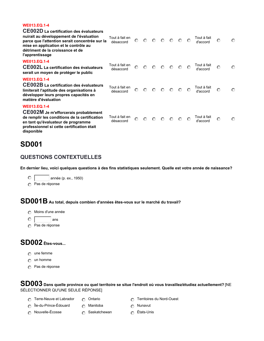#### **WE013.EQ.1-4**

| CE002D La certification des évaluateurs<br>nuirait au développement de l'évaluation<br>parce que l'attention serait concentrée sur la<br>mise en application et le contrôle au<br>détriment de la croissance et de<br>l'apprentissage | Tout à fait en<br>désaccord | $\odot$ | $\circ$ | $\circ$ |                                                                                                      | $O$ $O$ $O$ | $\odot$ | Tout à fait<br>d'accord | $\odot$ | $\odot$ |
|---------------------------------------------------------------------------------------------------------------------------------------------------------------------------------------------------------------------------------------|-----------------------------|---------|---------|---------|------------------------------------------------------------------------------------------------------|-------------|---------|-------------------------|---------|---------|
| <b>WE013.EQ.1-4</b><br>CE002L La certification des évaluateurs<br>serait un moyen de protéger le public                                                                                                                               | Tout à fait en<br>désaccord | $\odot$ |         |         | $\begin{array}{ccccccccccccccccc} \circ & \circ & \circ & \circ & \circ & \circ & \circ \end{array}$ |             |         | Tout à fait<br>d'accord | $\odot$ | $\odot$ |
| <b>WE013.EQ.1-4</b><br>CE002B La certification des évaluateurs<br>limiterait l'aptitude des organisations à<br>développer leurs propres capacités en<br>matière d'évaluation                                                          | Tout à fait en<br>désaccord | $\odot$ |         |         | $\begin{array}{ccccccccccccccccc} \circ & \circ & \circ & \circ & \circ & \circ & \circ \end{array}$ |             |         | Tout à fait<br>d'accord | $\odot$ | $\odot$ |
| <b>WE013.EQ.1-4</b><br><b>CE002M</b> Je m'efforcerais probablement<br>de remplir les conditions de la certification<br>en tant qu'évaluateur de programme<br>professionnel si cette certification était<br>disponible                 | Tout à fait en<br>désaccord | $\odot$ | $\odot$ |         | $\begin{array}{ccc} \circ & \circ & \circ & \circ \end{array}$                                       |             | $\circ$ | Tout à fait<br>d'accord | $\odot$ | $\circ$ |

## **SD001**

### **QUESTIONS CONTEXTUELLES**

**En dernier lieu, voici quelques questions à des fins statistiques seulement. Quelle est votre année de naissance?**

**c** année (p. ex., 1950)

**nmlkj** Pas de réponse

# **SD001B Au total, depuis combien d'années êtes-vous sur le marché du travail?**

- **nmlkj** Moins d'une année
- $\circ$   $\overline{\qquad}$  ans
- **nmlkj** Pas de réponse

## **SD002 Êtes-vous...**

- **n** une femme
- **n** un homme
- **nmlkj** Pas de réponse

## **SD003 Dans quelle province ou quel territoire se situe l'endroit où vous travaillez/étudiez actuellement?** [NE SÉLECTIONNER QU'UNE SEULE RÉPONSE]

- **nmaximizion Terre-Neuve et Labrador <b>nm nml** Ontario **nml nm nml** Ontario **nm nml** Territoires du Nord-Ouest
- **nmlkj** Île-du-Prince-Édouard **nmlkj** Manitoba **nmlkj** Nunavut
- -
- **nmlkj** Nouvelle-Écosse **nmlkj** Saskatchewan **nmlkj** États-Unis
	-
-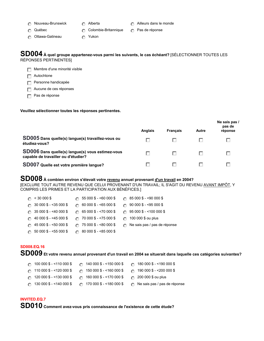- 
- 
- 
- **n** Nouveau-Brunswick **nm** Alberta **nml** Ailleurs dans le monde
- **nmlkj** Québec **nmlkj** Colombie-Britannique **nmlkj** Pas de réponse
- **n** Ottawa-Gatineau **nm** *n*<sup>1</sup> Yukon
- 
- 

### **SD004 À quel groupe appartenez-vous parmi les suivants, le cas échéant?** [SÉLECTIONNER TOUTES LES RÉPONSES PERTINENTES]

**Full Membre d'une minorité visible** 

**g** Autochtone

**g** Personne handicapée

**Fig. 2** Aucune de ces réponses

**Figure** Pas de réponse

#### **Veuillez sélectionner toutes les réponses pertinentes.**

|                                                                                         | <b>Anglais</b> | <b>Francais</b> | Autre | Ne sais pas /<br>pas de<br>réponse |
|-----------------------------------------------------------------------------------------|----------------|-----------------|-------|------------------------------------|
| SD005 Dans quelle(s) langue(s) travaillez-vous ou<br>étudiez-vous?                      |                |                 |       |                                    |
| SD006 Dans quelle(s) langue(s) vous estimez-vous<br>capable de travailler ou d'étudier? |                |                 |       |                                    |
| SD007 Quelle est votre première langue?                                                 |                |                 |       |                                    |

# **SD008 À combien environ s'élevait votre revenu annuel provenant d'un travail en 2004?**

[EXCLURE TOUT AUTRE REVENU QUE CELUI PROVENANT D'UN TRAVAIL; IL S'AGIT DU REVENU AVANT IMPÔT, Y COMPRIS LES PRIMES ET LA PARTICIPATION AUX BÉNÉFICES.]

| $\bigcap$ < 30 000 \$            | $\circ$ 55 000 \$ - <60 000 \$   | $\circ$ 85 000 \$ - <90 000 \$       |
|----------------------------------|----------------------------------|--------------------------------------|
| $\bigcap$ 30 000 \$ - <35 000 \$ | $\bigcap$ 60 000 \$ - <65 000 \$ | $\circ$ 90 000 \$ - <95 000 \$       |
| $\bigcap$ 35 000 \$ - <40 000 \$ | $\bigcap$ 65 000 \$ - <70 000 \$ | $\circ$ 95 000 \$ - <100 000 \$      |
| $\bigcap$ 40 000 \$ - <45 000 \$ | $\cap$ 70 000 \$ - <75 000 \$    | $\bigcap$ 100 000 \$ ou plus         |
| $\bigcap$ 45 000 \$ - <50 000 \$ | $\cap$ 75 000 \$ - <80 000 \$    | $\odot$ Ne sais pas / pas de réponse |
| $\circ$ 50 000 \$ - <55 000 \$   | $\cap$ 80 000 \$ - <85 000 \$    |                                      |

#### **SD008.EQ.16**

**SD009 Et votre revenu annuel provenant d'un travail en 2004 se situerait dans laquelle ces catégories suivantes?**

| $\bigcap$ 100 000 \$ - <110 000 \$ | $\odot$ 140 000 \$ - <150 000 \$ | $\bigcap$ 180 000 \$ - <190 000 \$   |
|------------------------------------|----------------------------------|--------------------------------------|
| $\bigcap$ 110 000 \$ - <120 000 \$ | $\circ$ 150 000 \$ - <160 000 \$ | $\cap$ 190 000 \$ - <200 000 \$      |
| $\odot$ 120 000 \$ - <130 000 \$   | $\odot$ 160 000 \$ - <170 000 \$ | $\odot$ 200 000 \$ ou plus           |
| $\odot$ 130 000 \$ - <140 000 \$   | $\circ$ 170 000 \$ - <180 000 \$ | $\odot$ Ne sais pas / pas de réponse |

#### **INVITED.EQ.7**

**SD010 Comment avez-vous pris connaissance de l'existence de cette étude?**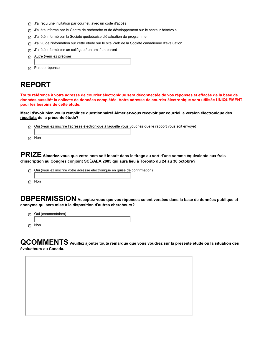- **n** J'ai reçu une invitation par courriel, avec un code d'accès
- **buch J'ai été informé par le Centre de recherche et de développement sur le secteur bénévole**
- **nmlkj** J'ai été informé par la Société québécoise d'évaluation de programme
- **nmlkj** J'ai vu de l'information sur cette étude sur le site Web de la Société canadienne d'évaluation
- **nmlkj** J'ai été informé par un collègue / un ami / un parent
- **nmlkj** Autre (veuillez préciser)
- **nmlkj** Pas de réponse

## **REPORT**

**Toute référence à votre adresse de courrier électronique sera déconnectée de vos réponses et effacée de la base de données aussitôt la collecte de données complétée. Votre adresse de courrier électronique sera utilisée UNIQUEMENT pour les besoins de cette étude.**

**Merci d'avoir bien voulu remplir ce questionnaire! Aimeriez-vous recevoir par courriel la version électronique des résultats de la présente étude?**

| Oui (veuillez inscrire l'adresse électronique à laquelle vous voudriez que le rapport vous soit envoyé) |  |
|---------------------------------------------------------------------------------------------------------|--|
|                                                                                                         |  |
| ര Non                                                                                                   |  |

**PRIZE Aimeriez-vous que votre nom soit inscrit dans le tirage au sort d'une somme équivalente aux frais d'inscription au Congrès conjoint SCÉ/AEA 2005 qui aura lieu à Toronto du 24 au 30 octobre?**

- *c* Oui (veuillez inscrire votre adresse électronique en guise de confirmation)
- **nmlkj** Non

**DBPERMISSION Acceptez-vous que vos réponses soient versées dans la base de données publique et anonyme qui sera mise à la disposition d'autres chercheurs?**

**n** Oui (commentaires) **nmlkj** Non

**QCOMMENTSVeuillez ajouter toute remarque que vous voudrez sur la présente étude ou la situation des évaluateurs au Canada.**